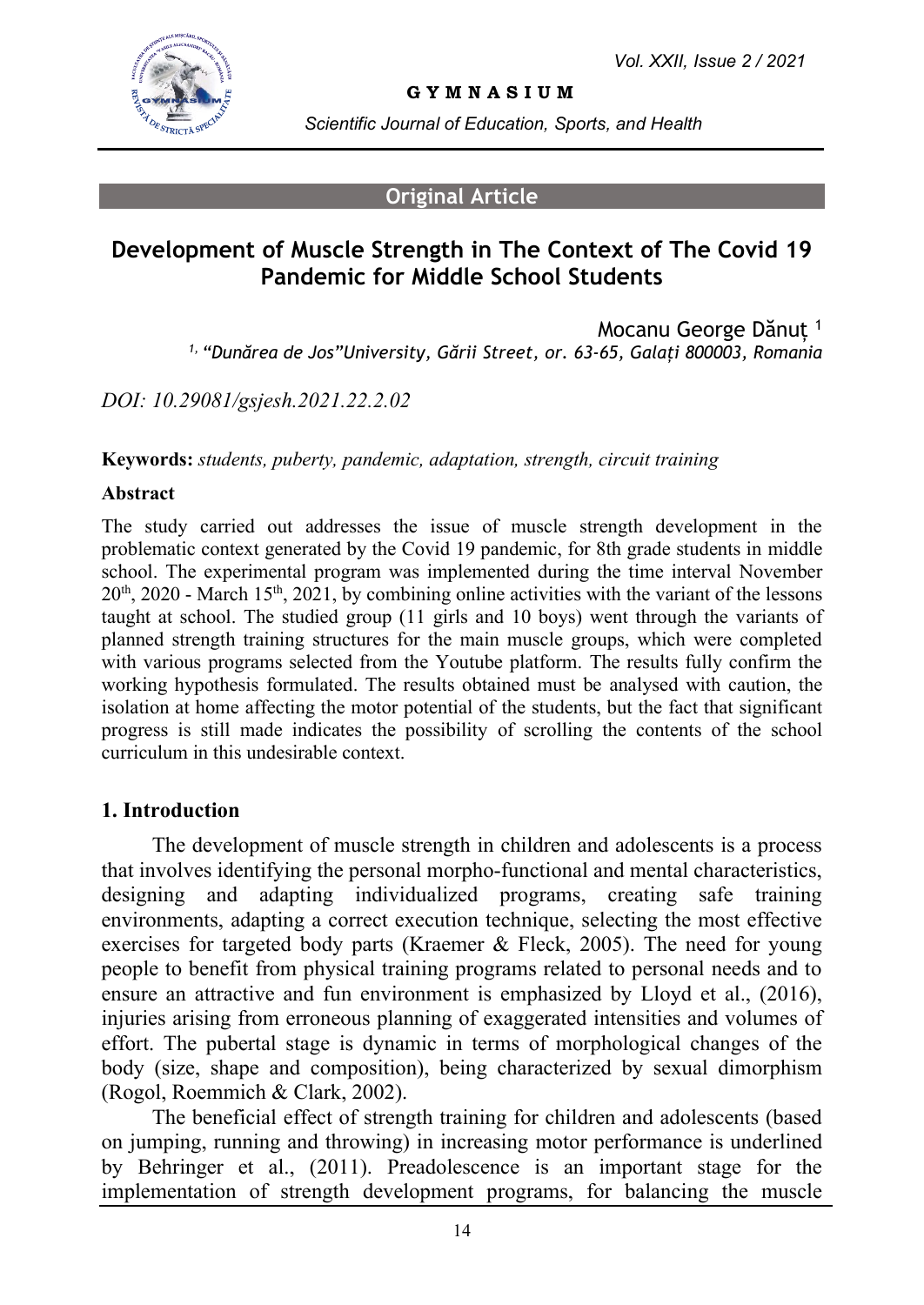

#### **G Y M N A S I U M**

*Scientific Journal of Education, Sports, and Health*

#### **Original Article**

# **Development of Muscle Strength in The Context of The Covid 19 Pandemic for Middle School Students**

Mocanu George Dănuț <sup>1</sup> *1, "Dunărea de Jos"University, Gării Street, or. 63-65, Galați 800003, Romania*

*DOI: 10.29081/gsjesh.2021.22.2.02*

**Keywords:** *students, puberty, pandemic, adaptation, strength, circuit training*

#### **Abstract**

The study carried out addresses the issue of muscle strength development in the problematic context generated by the Covid 19 pandemic, for 8th grade students in middle school. The experimental program was implemented during the time interval November  $20<sup>th</sup>$ , 2020 - March 15<sup>th</sup>, 2021, by combining online activities with the variant of the lessons taught at school. The studied group (11 girls and 10 boys) went through the variants of planned strength training structures for the main muscle groups, which were completed with various programs selected from the Youtube platform. The results fully confirm the working hypothesis formulated. The results obtained must be analysed with caution, the isolation at home affecting the motor potential of the students, but the fact that significant progress is still made indicates the possibility of scrolling the contents of the school curriculum in this undesirable context.

#### **1. Introduction**

The development of muscle strength in children and adolescents is a process that involves identifying the personal morpho-functional and mental characteristics, designing and adapting individualized programs, creating safe training environments, adapting a correct execution technique, selecting the most effective exercises for targeted body parts (Kraemer & Fleck, 2005). The need for young people to benefit from physical training programs related to personal needs and to ensure an attractive and fun environment is emphasized by Lloyd et al., (2016), injuries arising from erroneous planning of exaggerated intensities and volumes of effort. The pubertal stage is dynamic in terms of morphological changes of the body (size, shape and composition), being characterized by sexual dimorphism (Rogol, Roemmich & Clark, 2002).

The beneficial effect of strength training for children and adolescents (based on jumping, running and throwing) in increasing motor performance is underlined by Behringer et al., (2011). Preadolescence is an important stage for the implementation of strength development programs, for balancing the muscle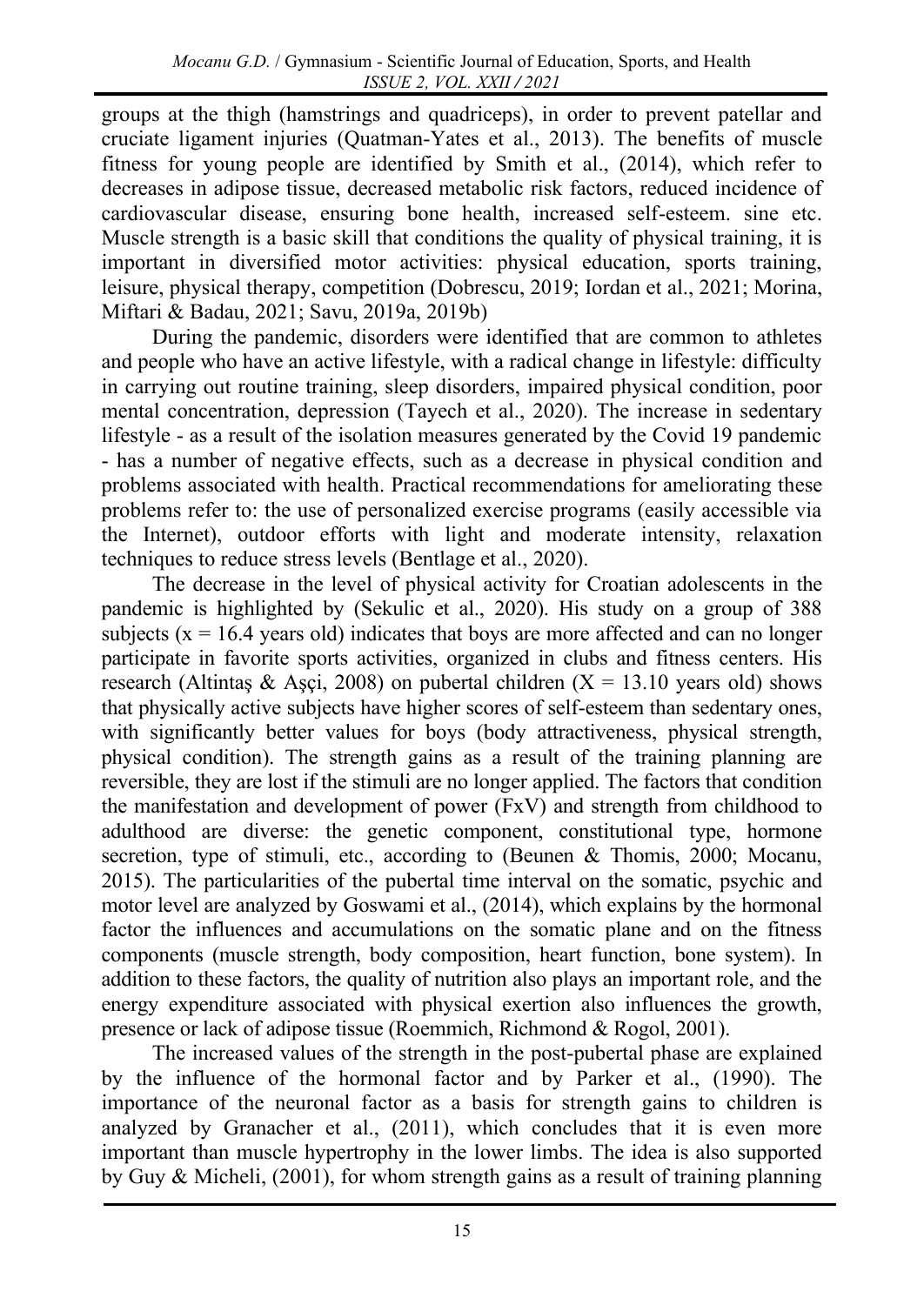groups at the thigh (hamstrings and quadriceps), in order to prevent patellar and cruciate ligament injuries (Quatman-Yates et al., 2013). The benefits of muscle fitness for young people are identified by Smith et al., (2014), which refer to decreases in adipose tissue, decreased metabolic risk factors, reduced incidence of cardiovascular disease, ensuring bone health, increased self-esteem. sine etc. Muscle strength is a basic skill that conditions the quality of physical training, it is important in diversified motor activities: physical education, sports training, leisure, physical therapy, competition (Dobrescu, 2019; Iordan et al., 2021; Morina, Miftari & Badau, 2021; Savu, 2019a, 2019b)

During the pandemic, disorders were identified that are common to athletes and people who have an active lifestyle, with a radical change in lifestyle: difficulty in carrying out routine training, sleep disorders, impaired physical condition, poor mental concentration, depression (Tayech et al., 2020). The increase in sedentary lifestyle - as a result of the isolation measures generated by the Covid 19 pandemic - has a number of negative effects, such as a decrease in physical condition and problems associated with health. Practical recommendations for ameliorating these problems refer to: the use of personalized exercise programs (easily accessible via the Internet), outdoor efforts with light and moderate intensity, relaxation techniques to reduce stress levels (Bentlage et al., 2020).

The decrease in the level of physical activity for Croatian adolescents in the pandemic is highlighted by (Sekulic et al., 2020). His study on a group of 388 subjects ( $x = 16.4$  years old) indicates that boys are more affected and can no longer participate in favorite sports activities, organized in clubs and fitness centers. His research (Altintaş & Aşçi, 2008) on pubertal children  $(X = 13.10$  years old) shows that physically active subjects have higher scores of self-esteem than sedentary ones, with significantly better values for boys (body attractiveness, physical strength, physical condition). The strength gains as a result of the training planning are reversible, they are lost if the stimuli are no longer applied. The factors that condition the manifestation and development of power (FxV) and strength from childhood to adulthood are diverse: the genetic component, constitutional type, hormone secretion, type of stimuli, etc., according to (Beunen & Thomis, 2000; Mocanu, 2015). The particularities of the pubertal time interval on the somatic, psychic and motor level are analyzed by Goswami et al., (2014), which explains by the hormonal factor the influences and accumulations on the somatic plane and on the fitness components (muscle strength, body composition, heart function, bone system). In addition to these factors, the quality of nutrition also plays an important role, and the energy expenditure associated with physical exertion also influences the growth, presence or lack of adipose tissue (Roemmich, Richmond & Rogol, 2001).

The increased values of the strength in the post-pubertal phase are explained by the influence of the hormonal factor and by Parker et al., (1990). The importance of the neuronal factor as a basis for strength gains to children is analyzed by Granacher et al., (2011), which concludes that it is even more important than muscle hypertrophy in the lower limbs. The idea is also supported by Guy & Micheli, (2001), for whom strength gains as a result of training planning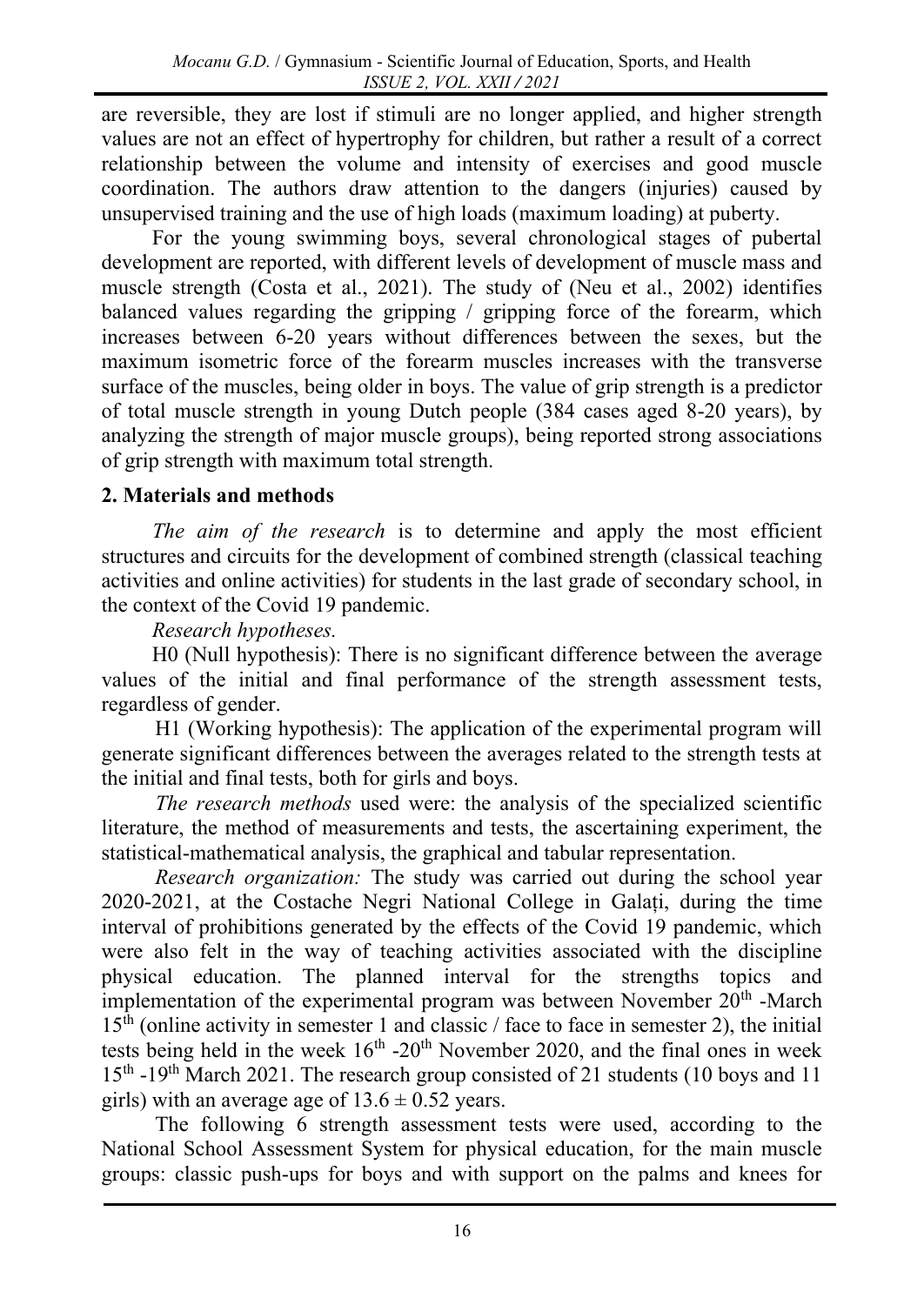are reversible, they are lost if stimuli are no longer applied, and higher strength values are not an effect of hypertrophy for children, but rather a result of a correct relationship between the volume and intensity of exercises and good muscle coordination. The authors draw attention to the dangers (injuries) caused by unsupervised training and the use of high loads (maximum loading) at puberty.

For the young swimming boys, several chronological stages of pubertal development are reported, with different levels of development of muscle mass and muscle strength (Costa et al., 2021). The study of (Neu et al., 2002) identifies balanced values regarding the gripping / gripping force of the forearm, which increases between 6-20 years without differences between the sexes, but the maximum isometric force of the forearm muscles increases with the transverse surface of the muscles, being older in boys. The value of grip strength is a predictor of total muscle strength in young Dutch people (384 cases aged 8-20 years), by analyzing the strength of major muscle groups), being reported strong associations of grip strength with maximum total strength.

## **2. Materials and methods**

*The aim of the research* is to determine and apply the most efficient structures and circuits for the development of combined strength (classical teaching activities and online activities) for students in the last grade of secondary school, in the context of the Covid 19 pandemic.

### *Research hypotheses.*

H0 (Null hypothesis): There is no significant difference between the average values of the initial and final performance of the strength assessment tests, regardless of gender.

H1 (Working hypothesis): The application of the experimental program will generate significant differences between the averages related to the strength tests at the initial and final tests, both for girls and boys.

*The research methods* used were: the analysis of the specialized scientific literature, the method of measurements and tests, the ascertaining experiment, the statistical-mathematical analysis, the graphical and tabular representation.

*Research organization:* The study was carried out during the school year 2020-2021, at the Costache Negri National College in Galați, during the time interval of prohibitions generated by the effects of the Covid 19 pandemic, which were also felt in the way of teaching activities associated with the discipline physical education. The planned interval for the strengths topics and implementation of the experimental program was between November  $20<sup>th</sup>$  -March  $15<sup>th</sup>$  (online activity in semester 1 and classic / face to face in semester 2), the initial tests being held in the week  $16<sup>th</sup> - 20<sup>th</sup>$  November 2020, and the final ones in week 15<sup>th</sup> -19<sup>th</sup> March 2021. The research group consisted of 21 students (10 boys and 11 girls) with an average age of  $13.6 \pm 0.52$  years.

The following 6 strength assessment tests were used, according to the National School Assessment System for physical education, for the main muscle groups: classic push-ups for boys and with support on the palms and knees for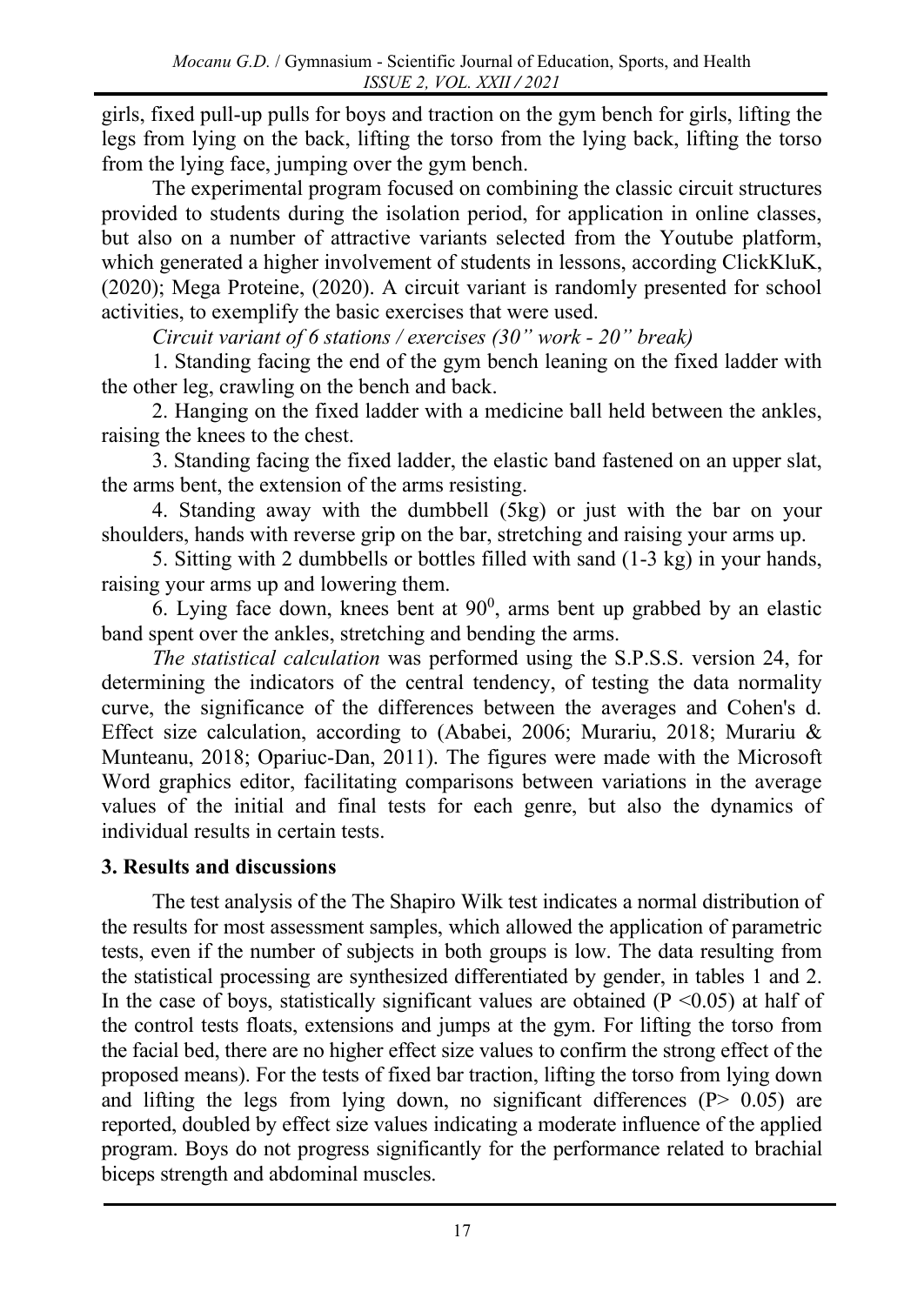girls, fixed pull-up pulls for boys and traction on the gym bench for girls, lifting the legs from lying on the back, lifting the torso from the lying back, lifting the torso from the lying face, jumping over the gym bench.

The experimental program focused on combining the classic circuit structures provided to students during the isolation period, for application in online classes, but also on a number of attractive variants selected from the Youtube platform, which generated a higher involvement of students in lessons, according ClickKluK, (2020); Mega Proteine, (2020). A circuit variant is randomly presented for school activities, to exemplify the basic exercises that were used.

*Circuit variant of 6 stations / exercises (30" work - 20" break)*

1. Standing facing the end of the gym bench leaning on the fixed ladder with the other leg, crawling on the bench and back.

2. Hanging on the fixed ladder with a medicine ball held between the ankles, raising the knees to the chest.

3. Standing facing the fixed ladder, the elastic band fastened on an upper slat, the arms bent, the extension of the arms resisting.

4. Standing away with the dumbbell (5kg) or just with the bar on your shoulders, hands with reverse grip on the bar, stretching and raising your arms up.

5. Sitting with 2 dumbbells or bottles filled with sand (1-3 kg) in your hands, raising your arms up and lowering them.

6. Lying face down, knees bent at  $90^0$ , arms bent up grabbed by an elastic band spent over the ankles, stretching and bending the arms.

*The statistical calculation* was performed using the S.P.S.S. version 24, for determining the indicators of the central tendency, of testing the data normality curve, the significance of the differences between the averages and Cohen's d. Effect size calculation, according to (Ababei, 2006; Murariu, 2018; Murariu & Munteanu, 2018; Opariuc-Dan, 2011). The figures were made with the Microsoft Word graphics editor, facilitating comparisons between variations in the average values of the initial and final tests for each genre, but also the dynamics of individual results in certain tests.

## **3. Results and discussions**

The test analysis of the The Shapiro Wilk test indicates a normal distribution of the results for most assessment samples, which allowed the application of parametric tests, even if the number of subjects in both groups is low. The data resulting from the statistical processing are synthesized differentiated by gender, in tables 1 and 2. In the case of boys, statistically significant values are obtained  $(P \le 0.05)$  at half of the control tests floats, extensions and jumps at the gym. For lifting the torso from the facial bed, there are no higher effect size values to confirm the strong effect of the proposed means). For the tests of fixed bar traction, lifting the torso from lying down and lifting the legs from lying down, no significant differences  $(P > 0.05)$  are reported, doubled by effect size values indicating a moderate influence of the applied program. Boys do not progress significantly for the performance related to brachial biceps strength and abdominal muscles.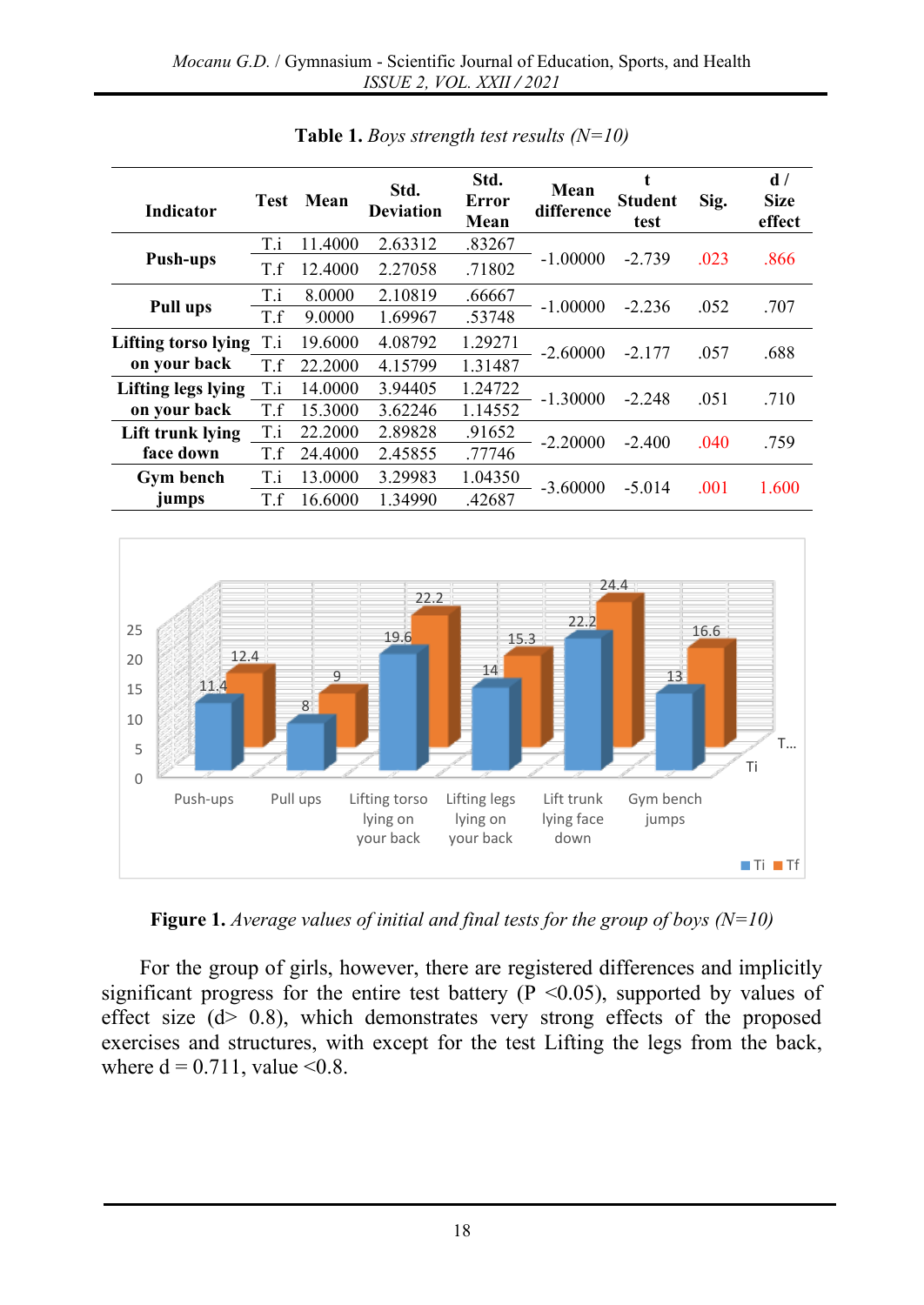| <b>Indicator</b>    | <b>Test</b> | Mean    | Std.<br><b>Deviation</b> | Std.<br>Error<br>Mean | Mean<br>difference | <b>Student</b><br>test | Sig. | d/<br><b>Size</b><br>effect |
|---------------------|-------------|---------|--------------------------|-----------------------|--------------------|------------------------|------|-----------------------------|
|                     | T.i         | 11.4000 | 2.63312                  | .83267                |                    |                        |      |                             |
| <b>Push-ups</b>     | T.f         | 12.4000 | 2.27058                  | .71802                | $-1.00000$         | $-2.739$               | .023 | .866                        |
| Pull ups            | T.i         | 8.0000  | 2.10819                  | .66667                | $-1.00000$         | $-2.236$               | .052 | .707                        |
|                     | T.f         | 9.0000  | 1.69967                  | .53748                |                    |                        |      |                             |
| Lifting torso lying | T.i         | 19.6000 | 4.08792                  | 1.29271               | $-2.60000$         | $-2.177$               | .057 | .688                        |
| on your back        | T.f         | 22.2000 | 4.15799                  | 1.31487               |                    |                        |      |                             |
| Lifting legs lying  | T.i         | 14.0000 | 3.94405                  | 1.24722               | $-1.30000$         | $-2.248$               | .051 | .710                        |
| on your back        | T.f         | 15.3000 | 3.62246                  | 1.14552               |                    |                        |      |                             |
| Lift trunk lying    | T.i         | 22.2000 | 2.89828                  | .91652                | $-2.20000$         | $-2.400$               | .040 | .759                        |
| face down           | T.f         | 24.4000 | 2.45855                  | .77746                |                    |                        |      |                             |
| <b>Gym bench</b>    | T.i         | 13.0000 | 3.29983                  | 1.04350               | $-3.60000$         | $-5.014$               | .001 | 1.600                       |
| jumps               | T.f         | 16.6000 | 1.34990                  | .42687                |                    |                        |      |                             |

**Table 1.** *Boys strength test results (N=10)*



**Figure 1.** *Average values of initial and final tests for the group of boys (N=10)*

For the group of girls, however, there are registered differences and implicitly significant progress for the entire test battery ( $P \le 0.05$ ), supported by values of effect size (d> 0.8), which demonstrates very strong effects of the proposed exercises and structures, with except for the test Lifting the legs from the back, where  $d = 0.711$ , value <0.8.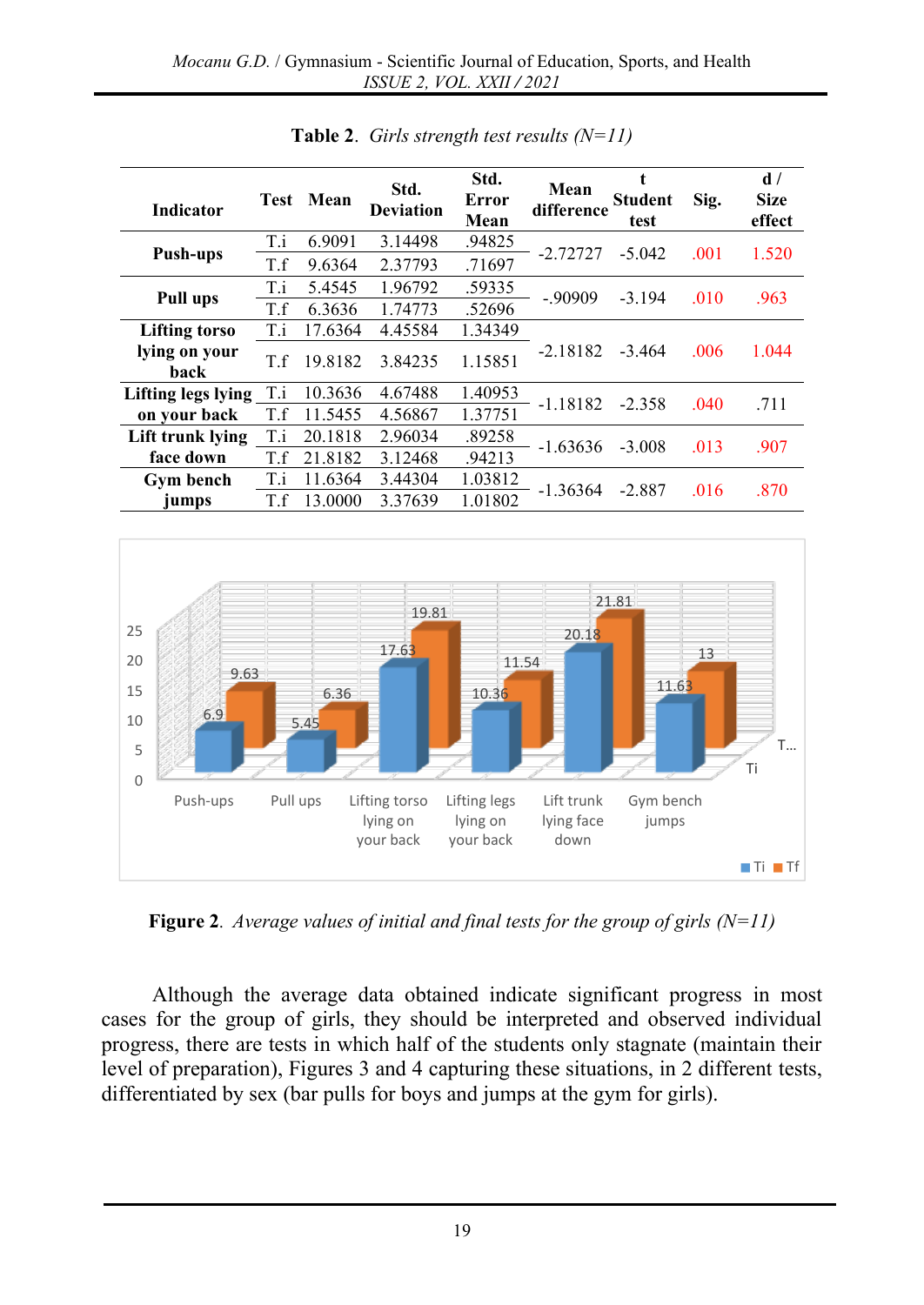| <b>Indicator</b>      | <b>Test</b> | Mean    | Std.<br><b>Deviation</b> | Std.<br>Error<br>Mean | Mean<br>difference | <b>Student</b><br>test | Sig. | d/<br><b>Size</b><br>effect |
|-----------------------|-------------|---------|--------------------------|-----------------------|--------------------|------------------------|------|-----------------------------|
|                       | T.i         | 6.9091  | 3.14498                  | .94825                | $-2.72727$         | $-5.042$               | .001 | 1.520                       |
| <b>Push-ups</b>       | T.f         | 9.6364  | 2.37793                  | .71697                |                    |                        |      |                             |
| <b>Pull ups</b>       | T.i         | 5.4545  | 1.96792                  | .59335                | $-.90909$          | $-3.194$               | .010 | .963                        |
|                       | T.f         | 6.3636  | 1.74773                  | .52696                |                    |                        |      |                             |
| <b>Lifting torso</b>  | T.i         | 17.6364 | 4.45584                  | 1.34349               |                    |                        |      |                             |
| lying on your<br>back | T.f         | 19.8182 | 3.84235                  | 1.15851               | $-2.18182$         | $-3.464$               | .006 | 1.044                       |
| Lifting legs lying    | T.i         | 10.3636 | 4.67488                  | 1.40953               | $-1.18182$         | $-2.358$               | .040 | .711                        |
| on your back          | T.f         | 11.5455 | 4.56867                  | 1.37751               |                    |                        |      |                             |
| Lift trunk lying      | T.i         | 20.1818 | 2.96034                  | .89258                | $-1.63636$         | $-3.008$               | .013 | .907                        |
| face down             | T.f         | 21.8182 | 3.12468                  | .94213                |                    |                        |      |                             |
| <b>Gym bench</b>      | T.i         | 11.6364 | 3.44304                  | 1.03812               | $-1.36364$         | $-2.887$               | .016 | .870                        |
| jumps                 | T.f         | 13.0000 | 3.37639                  | 1.01802               |                    |                        |      |                             |

**Table 2**. *Girls strength test results (N=11)*



**Figure 2**. *Average values of initial and final tests for the group of girls (N=11)*

Although the average data obtained indicate significant progress in most cases for the group of girls, they should be interpreted and observed individual progress, there are tests in which half of the students only stagnate (maintain their level of preparation), Figures 3 and 4 capturing these situations, in 2 different tests, differentiated by sex (bar pulls for boys and jumps at the gym for girls).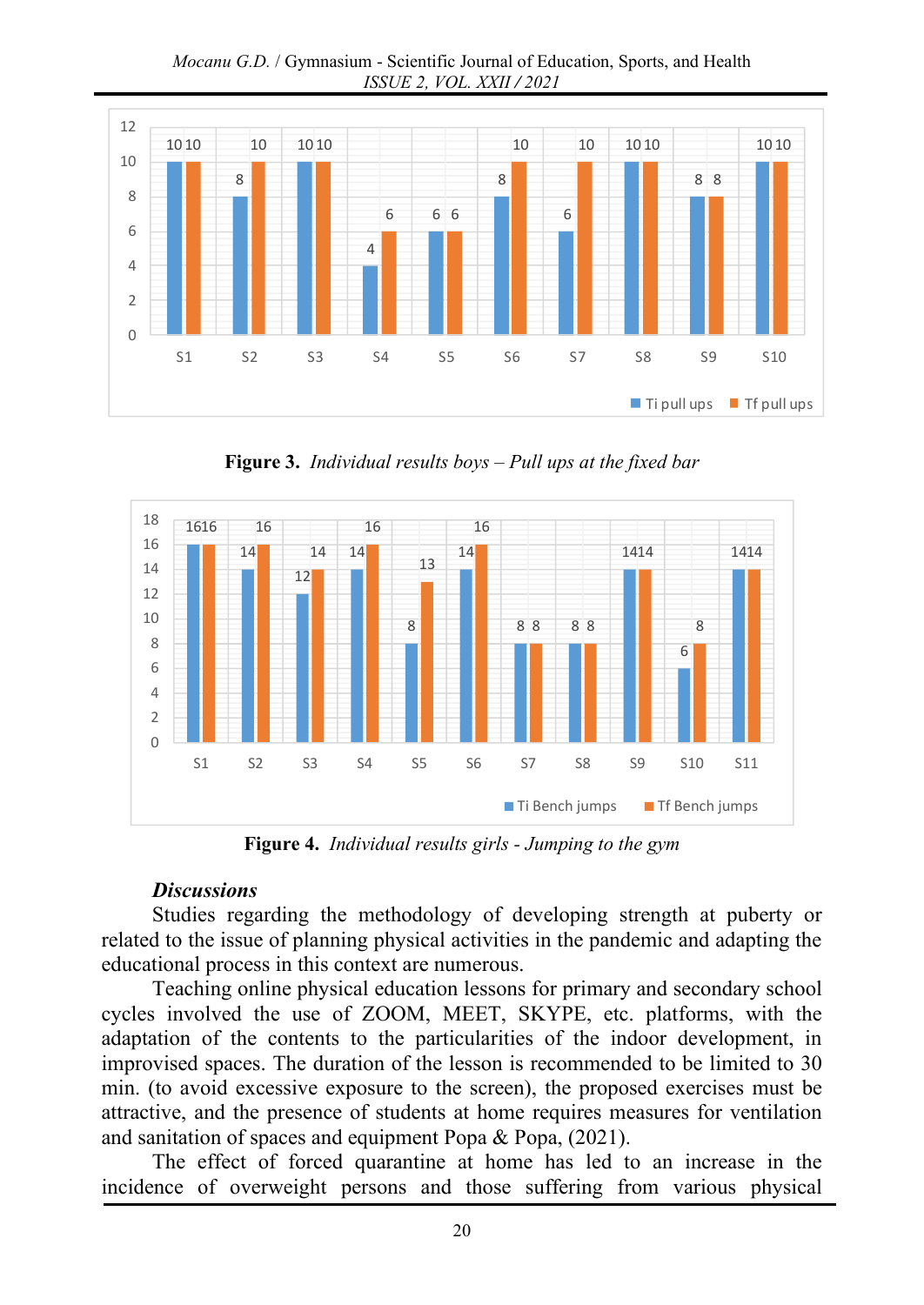*Mocanu G.D.* / Gymnasium - Scientific Journal of Education, Sports, and Health *ISSUE 2, VOL. XXII / 2021*



**Figure 3.** *Individual results boys – Pull ups at the fixed bar*



**Figure 4.** *Individual results girls - Jumping to the gym*

#### *Discussions*

Studies regarding the methodology of developing strength at puberty or related to the issue of planning physical activities in the pandemic and adapting the educational process in this context are numerous.

Teaching online physical education lessons for primary and secondary school cycles involved the use of ZOOM, MEET, SKYPE, etc. platforms, with the adaptation of the contents to the particularities of the indoor development, in improvised spaces. The duration of the lesson is recommended to be limited to 30 min. (to avoid excessive exposure to the screen), the proposed exercises must be attractive, and the presence of students at home requires measures for ventilation and sanitation of spaces and equipment Popa & Popa, (2021).

The effect of forced quarantine at home has led to an increase in the incidence of overweight persons and those suffering from various physical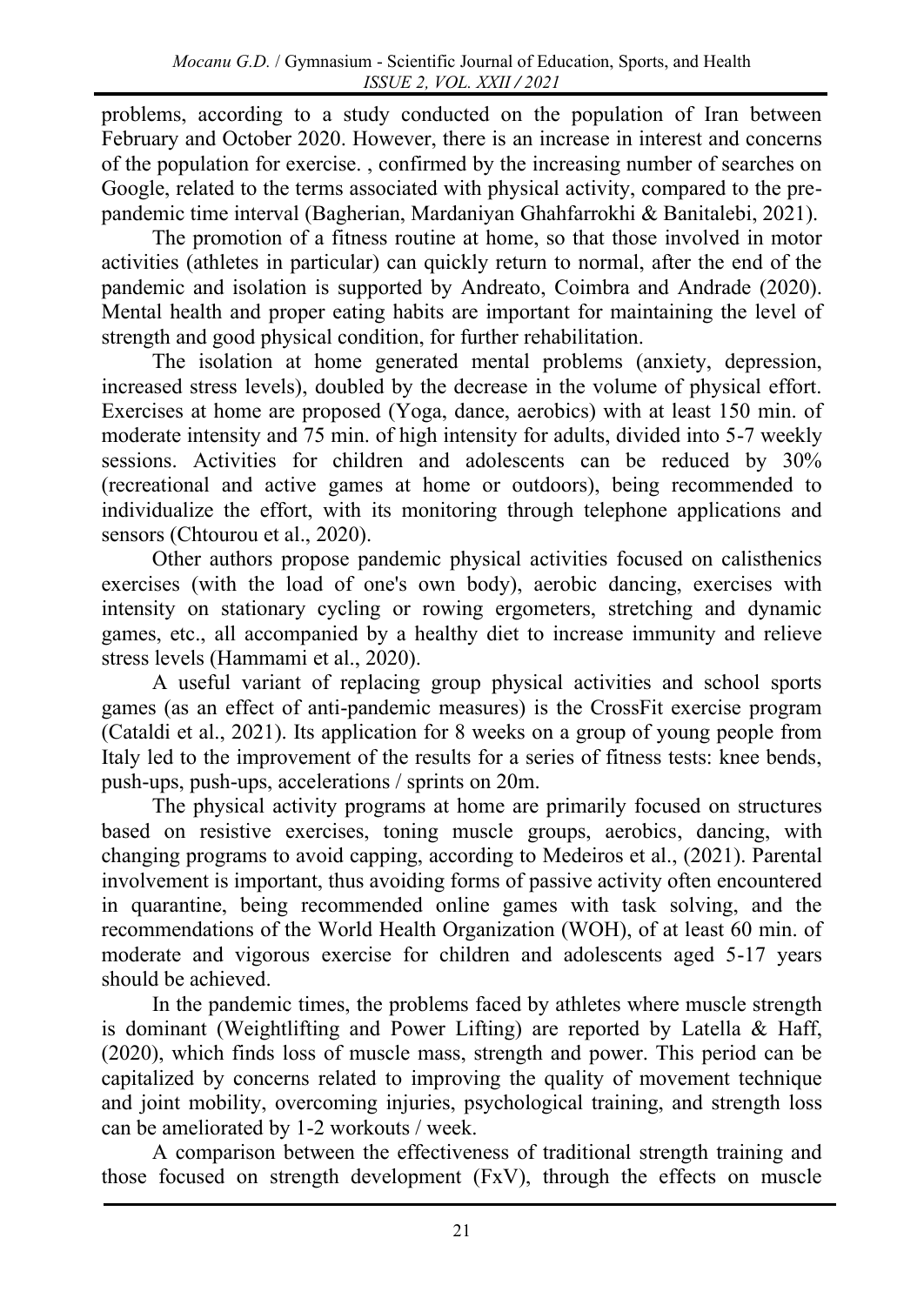problems, according to a study conducted on the population of Iran between February and October 2020. However, there is an increase in interest and concerns of the population for exercise. , confirmed by the increasing number of searches on Google, related to the terms associated with physical activity, compared to the prepandemic time interval (Bagherian, Mardaniyan Ghahfarrokhi & Banitalebi, 2021).

The promotion of a fitness routine at home, so that those involved in motor activities (athletes in particular) can quickly return to normal, after the end of the pandemic and isolation is supported by Andreato, Coimbra and Andrade (2020). Mental health and proper eating habits are important for maintaining the level of strength and good physical condition, for further rehabilitation.

The isolation at home generated mental problems (anxiety, depression, increased stress levels), doubled by the decrease in the volume of physical effort. Exercises at home are proposed (Yoga, dance, aerobics) with at least 150 min. of moderate intensity and 75 min. of high intensity for adults, divided into 5-7 weekly sessions. Activities for children and adolescents can be reduced by 30% (recreational and active games at home or outdoors), being recommended to individualize the effort, with its monitoring through telephone applications and sensors (Chtourou et al., 2020).

Other authors propose pandemic physical activities focused on calisthenics exercises (with the load of one's own body), aerobic dancing, exercises with intensity on stationary cycling or rowing ergometers, stretching and dynamic games, etc., all accompanied by a healthy diet to increase immunity and relieve stress levels (Hammami et al., 2020).

A useful variant of replacing group physical activities and school sports games (as an effect of anti-pandemic measures) is the CrossFit exercise program (Cataldi et al., 2021). Its application for 8 weeks on a group of young people from Italy led to the improvement of the results for a series of fitness tests: knee bends, push-ups, push-ups, accelerations / sprints on 20m.

The physical activity programs at home are primarily focused on structures based on resistive exercises, toning muscle groups, aerobics, dancing, with changing programs to avoid capping, according to Medeiros et al., (2021). Parental involvement is important, thus avoiding forms of passive activity often encountered in quarantine, being recommended online games with task solving, and the recommendations of the World Health Organization (WOH), of at least 60 min. of moderate and vigorous exercise for children and adolescents aged 5-17 years should be achieved.

In the pandemic times, the problems faced by athletes where muscle strength is dominant (Weightlifting and Power Lifting) are reported by Latella & Haff, (2020), which finds loss of muscle mass, strength and power. This period can be capitalized by concerns related to improving the quality of movement technique and joint mobility, overcoming injuries, psychological training, and strength loss can be ameliorated by 1-2 workouts / week.

A comparison between the effectiveness of traditional strength training and those focused on strength development (FxV), through the effects on muscle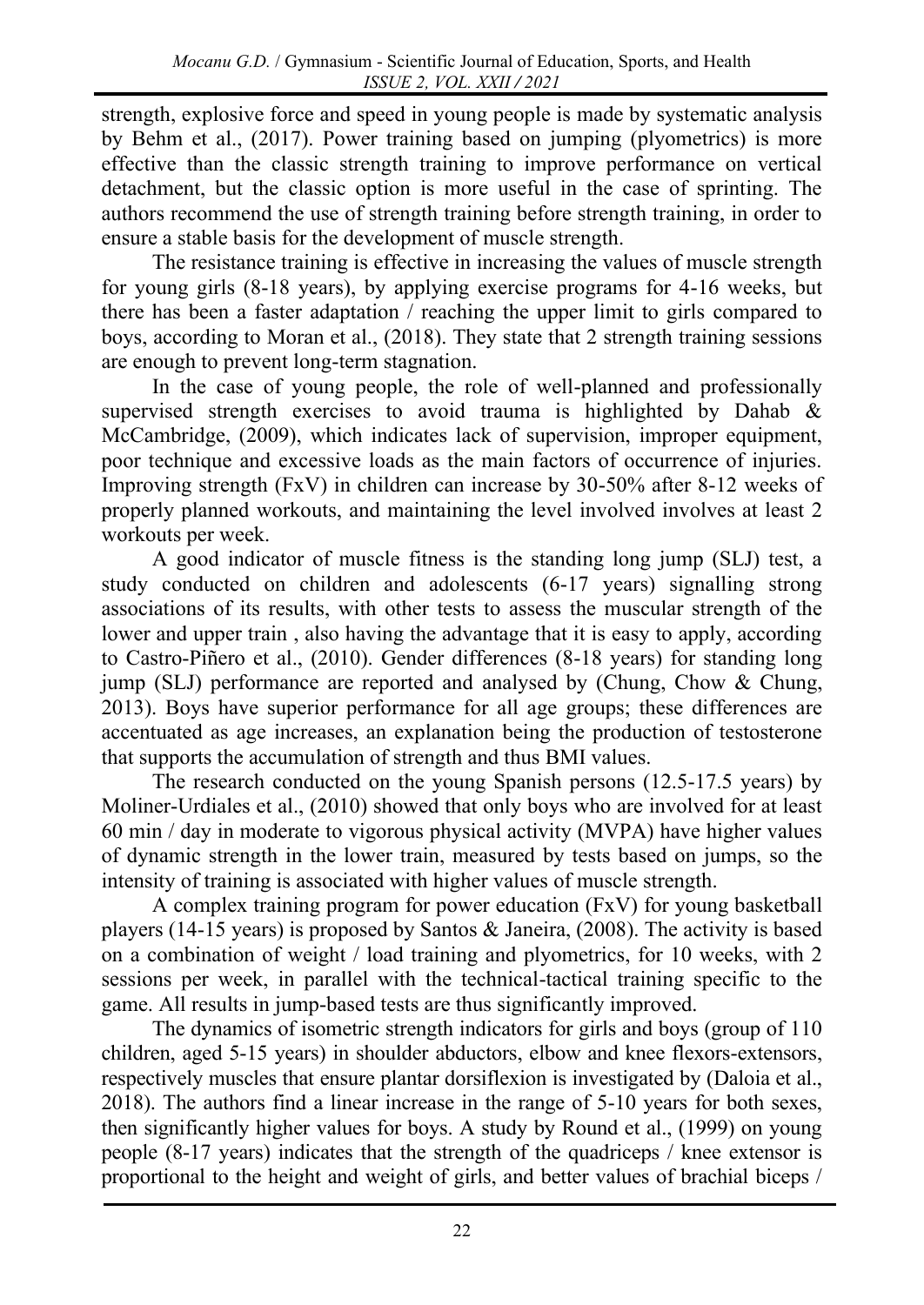strength, explosive force and speed in young people is made by systematic analysis by Behm et al., (2017). Power training based on jumping (plyometrics) is more effective than the classic strength training to improve performance on vertical detachment, but the classic option is more useful in the case of sprinting. The authors recommend the use of strength training before strength training, in order to ensure a stable basis for the development of muscle strength.

The resistance training is effective in increasing the values of muscle strength for young girls (8-18 years), by applying exercise programs for 4-16 weeks, but there has been a faster adaptation / reaching the upper limit to girls compared to boys, according to Moran et al., (2018). They state that 2 strength training sessions are enough to prevent long-term stagnation.

In the case of young people, the role of well-planned and professionally supervised strength exercises to avoid trauma is highlighted by Dahab & McCambridge, (2009), which indicates lack of supervision, improper equipment, poor technique and excessive loads as the main factors of occurrence of injuries. Improving strength (FxV) in children can increase by 30-50% after 8-12 weeks of properly planned workouts, and maintaining the level involved involves at least 2 workouts per week.

A good indicator of muscle fitness is the standing long jump (SLJ) test, a study conducted on children and adolescents (6-17 years) signalling strong associations of its results, with other tests to assess the muscular strength of the lower and upper train , also having the advantage that it is easy to apply, according to Castro-Piñero et al., (2010). Gender differences (8-18 years) for standing long jump (SLJ) performance are reported and analysed by (Chung, Chow & Chung, 2013). Boys have superior performance for all age groups; these differences are accentuated as age increases, an explanation being the production of testosterone that supports the accumulation of strength and thus BMI values.

The research conducted on the young Spanish persons (12.5-17.5 years) by Moliner-Urdiales et al., (2010) showed that only boys who are involved for at least 60 min / day in moderate to vigorous physical activity (MVPA) have higher values of dynamic strength in the lower train, measured by tests based on jumps, so the intensity of training is associated with higher values of muscle strength.

A complex training program for power education (FxV) for young basketball players (14-15 years) is proposed by Santos & Janeira, (2008). The activity is based on a combination of weight / load training and plyometrics, for 10 weeks, with 2 sessions per week, in parallel with the technical-tactical training specific to the game. All results in jump-based tests are thus significantly improved.

The dynamics of isometric strength indicators for girls and boys (group of 110 children, aged 5-15 years) in shoulder abductors, elbow and knee flexors-extensors, respectively muscles that ensure plantar dorsiflexion is investigated by (Daloia et al., 2018). The authors find a linear increase in the range of 5-10 years for both sexes, then significantly higher values for boys. A study by Round et al., (1999) on young people (8-17 years) indicates that the strength of the quadriceps / knee extensor is proportional to the height and weight of girls, and better values of brachial biceps /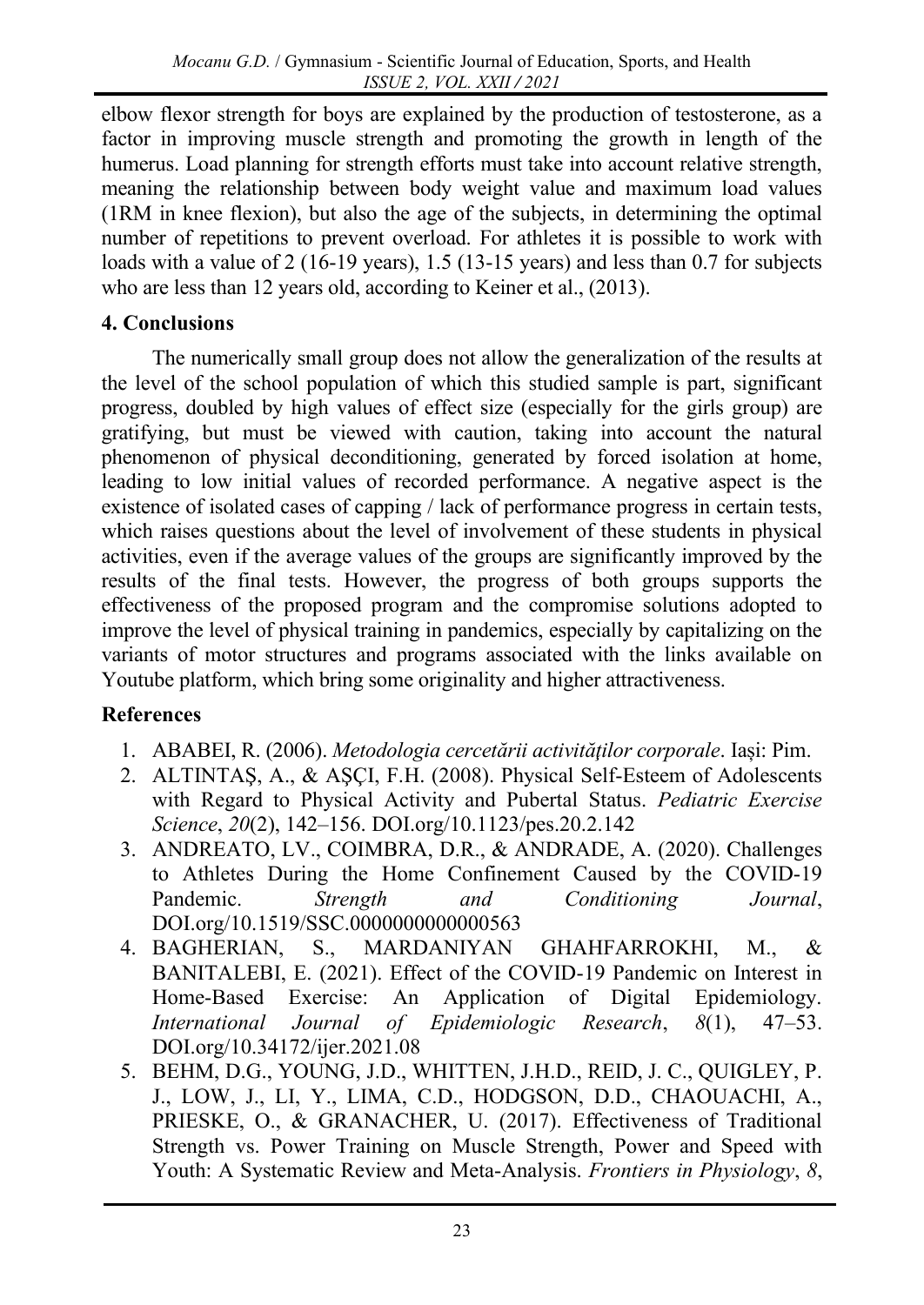elbow flexor strength for boys are explained by the production of testosterone, as a factor in improving muscle strength and promoting the growth in length of the humerus. Load planning for strength efforts must take into account relative strength, meaning the relationship between body weight value and maximum load values (1RM in knee flexion), but also the age of the subjects, in determining the optimal number of repetitions to prevent overload. For athletes it is possible to work with loads with a value of 2 (16-19 years), 1.5 (13-15 years) and less than 0.7 for subjects who are less than 12 years old, according to Keiner et al., (2013).

# **4. Conclusions**

The numerically small group does not allow the generalization of the results at the level of the school population of which this studied sample is part, significant progress, doubled by high values of effect size (especially for the girls group) are gratifying, but must be viewed with caution, taking into account the natural phenomenon of physical deconditioning, generated by forced isolation at home, leading to low initial values of recorded performance. A negative aspect is the existence of isolated cases of capping / lack of performance progress in certain tests, which raises questions about the level of involvement of these students in physical activities, even if the average values of the groups are significantly improved by the results of the final tests. However, the progress of both groups supports the effectiveness of the proposed program and the compromise solutions adopted to improve the level of physical training in pandemics, especially by capitalizing on the variants of motor structures and programs associated with the links available on Youtube platform, which bring some originality and higher attractiveness.

# **References**

- 1. ABABEI, R. (2006). *Metodologia cercetării activităţilor corporale*. Iași: Pim.
- 2. ALTINTAŞ, A., & AŞÇI, F.H. (2008). Physical Self-Esteem of Adolescents with Regard to Physical Activity and Pubertal Status. *Pediatric Exercise Science*, *20*(2), 142–156. DOI.org/10.1123/pes.20.2.142
- 3. ANDREATO, LV., COIMBRA, D.R., & ANDRADE, A. (2020). Challenges to Athletes During the Home Confinement Caused by the COVID-19 Pandemic. *Strength and Conditioning Journal*, DOI.org/10.1519/SSC.0000000000000563
- 4. BAGHERIAN, S., MARDANIYAN GHAHFARROKHI, M., & BANITALEBI, E. (2021). Effect of the COVID-19 Pandemic on Interest in Home-Based Exercise: An Application of Digital Epidemiology. *International Journal of Epidemiologic Research*, *8*(1), 47–53. DOI.org/10.34172/ijer.2021.08
- 5. BEHM, D.G., YOUNG, J.D., WHITTEN, J.H.D., REID, J. C., QUIGLEY, P. J., LOW, J., LI, Y., LIMA, C.D., HODGSON, D.D., CHAOUACHI, A., PRIESKE, O., & GRANACHER, U. (2017). Effectiveness of Traditional Strength vs. Power Training on Muscle Strength, Power and Speed with Youth: A Systematic Review and Meta-Analysis. *Frontiers in Physiology*, *8*,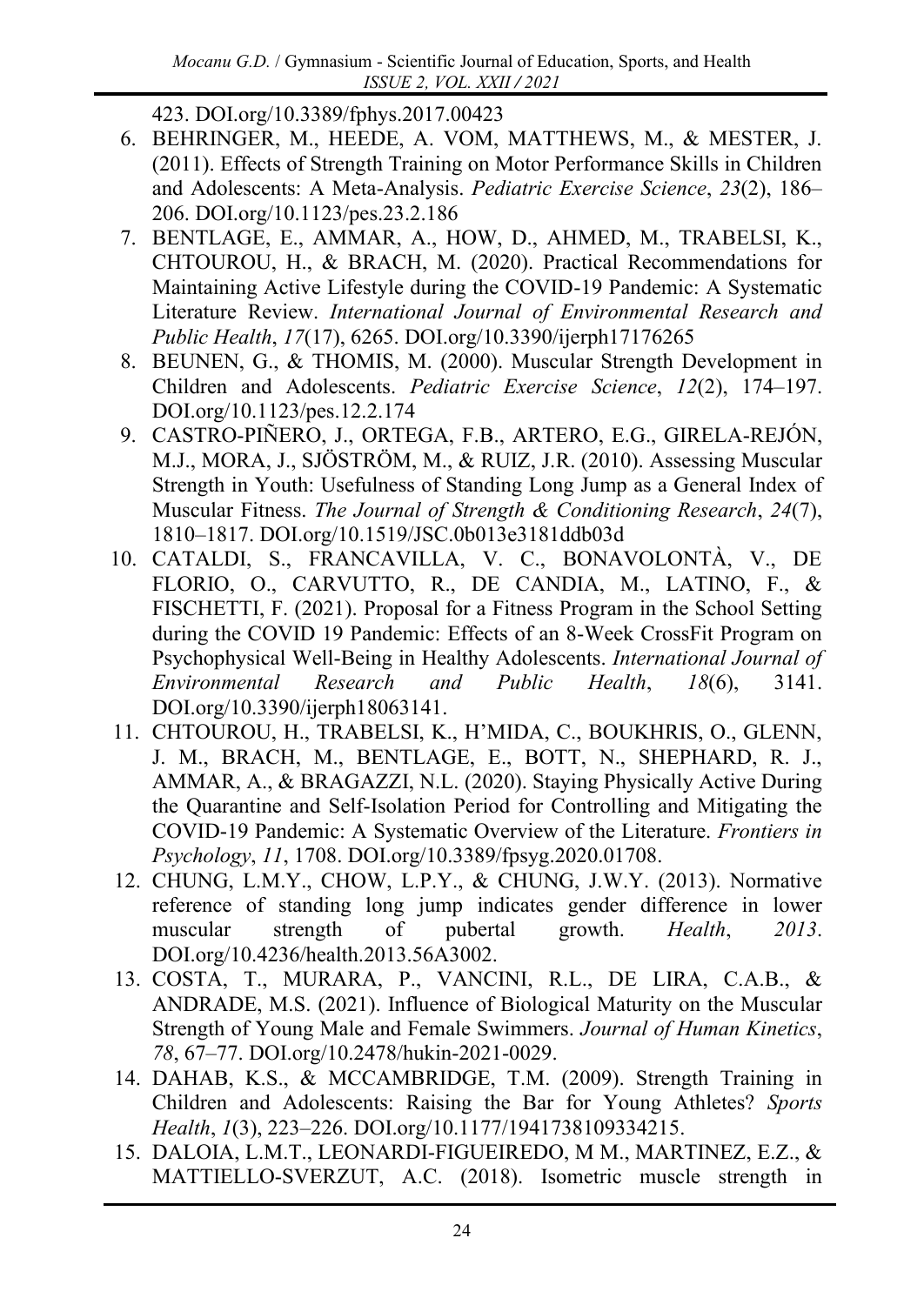423. DOI.org/10.3389/fphys.2017.00423

- 6. BEHRINGER, M., HEEDE, A. VOM, MATTHEWS, M., & MESTER, J. (2011). Effects of Strength Training on Motor Performance Skills in Children and Adolescents: A Meta-Analysis. *Pediatric Exercise Science*, *23*(2), 186– 206. DOI.org/10.1123/pes.23.2.186
- 7. BENTLAGE, E., AMMAR, A., HOW, D., AHMED, M., TRABELSI, K., CHTOUROU, H., & BRACH, M. (2020). Practical Recommendations for Maintaining Active Lifestyle during the COVID-19 Pandemic: A Systematic Literature Review. *International Journal of Environmental Research and Public Health*, *17*(17), 6265. DOI.org/10.3390/ijerph17176265
- 8. BEUNEN, G., & THOMIS, M. (2000). Muscular Strength Development in Children and Adolescents. *Pediatric Exercise Science*, *12*(2), 174–197. DOI.org/10.1123/pes.12.2.174
- 9. CASTRO-PIÑERO, J., ORTEGA, F.B., ARTERO, E.G., GIRELA-REJÓN, M.J., MORA, J., SJÖSTRÖM, M., & RUIZ, J.R. (2010). Assessing Muscular Strength in Youth: Usefulness of Standing Long Jump as a General Index of Muscular Fitness. *The Journal of Strength & Conditioning Research*, *24*(7), 1810–1817. DOI.org/10.1519/JSC.0b013e3181ddb03d
- 10. CATALDI, S., FRANCAVILLA, V. C., BONAVOLONTÀ, V., DE FLORIO, O., CARVUTTO, R., DE CANDIA, M., LATINO, F., & FISCHETTI, F. (2021). Proposal for a Fitness Program in the School Setting during the COVID 19 Pandemic: Effects of an 8-Week CrossFit Program on Psychophysical Well-Being in Healthy Adolescents. *International Journal of Environmental Research and Public Health*, *18*(6), 3141. DOI.org/10.3390/ijerph18063141.
- 11. CHTOUROU, H., TRABELSI, K., H'MIDA, C., BOUKHRIS, O., GLENN, J. M., BRACH, M., BENTLAGE, E., BOTT, N., SHEPHARD, R. J., AMMAR, A., & BRAGAZZI, N.L. (2020). Staying Physically Active During the Quarantine and Self-Isolation Period for Controlling and Mitigating the COVID-19 Pandemic: A Systematic Overview of the Literature. *Frontiers in Psychology*, *11*, 1708. DOI.org/10.3389/fpsyg.2020.01708.
- 12. CHUNG, L.M.Y., CHOW, L.P.Y., & CHUNG, J.W.Y. (2013). Normative reference of standing long jump indicates gender difference in lower muscular strength of pubertal growth. *Health*, *2013*. DOI.org/10.4236/health.2013.56A3002.
- 13. COSTA, T., MURARA, P., VANCINI, R.L., DE LIRA, C.A.B., & ANDRADE, M.S. (2021). Influence of Biological Maturity on the Muscular Strength of Young Male and Female Swimmers. *Journal of Human Kinetics*, *78*, 67–77. DOI.org/10.2478/hukin-2021-0029.
- 14. DAHAB, K.S., & MCCAMBRIDGE, T.M. (2009). Strength Training in Children and Adolescents: Raising the Bar for Young Athletes? *Sports Health*, *1*(3), 223–226. DOI.org/10.1177/1941738109334215.
- 15. DALOIA, L.M.T., LEONARDI-FIGUEIREDO, M M., MARTINEZ, E.Z., & MATTIELLO-SVERZUT, A.C. (2018). Isometric muscle strength in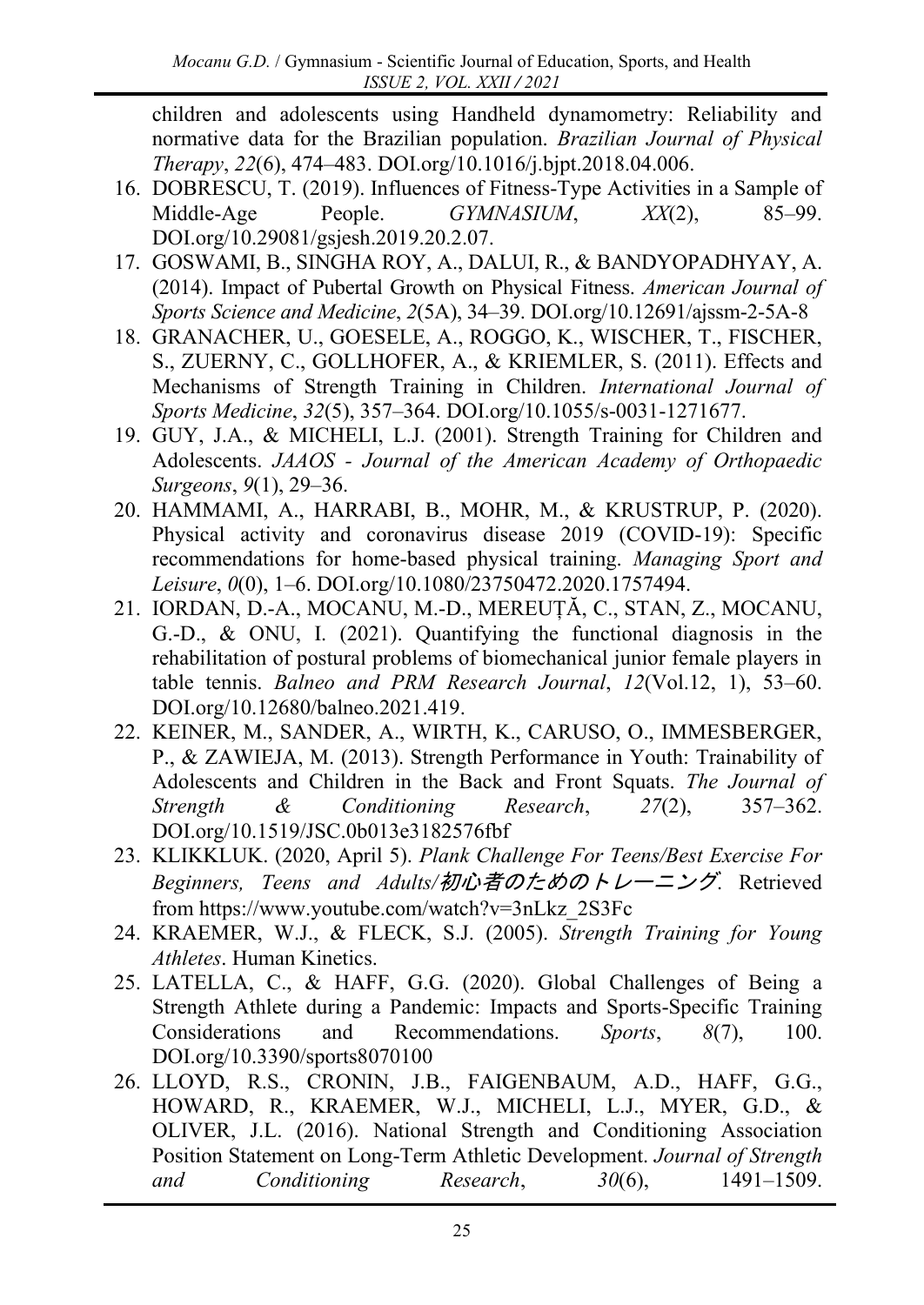children and adolescents using Handheld dynamometry: Reliability and normative data for the Brazilian population. *Brazilian Journal of Physical Therapy*, *22*(6), 474–483. DOI.org/10.1016/j.bjpt.2018.04.006.

- 16. DOBRESCU, T. (2019). Influences of Fitness-Type Activities in a Sample of Middle-Age People. *GYMNASIUM*, *XX*(2), 85–99. DOI.org/10.29081/gsjesh.2019.20.2.07.
- 17. GOSWAMI, B., SINGHA ROY, A., DALUI, R., & BANDYOPADHYAY, A. (2014). Impact of Pubertal Growth on Physical Fitness. *American Journal of Sports Science and Medicine*, *2*(5A), 34–39. DOI.org/10.12691/ajssm-2-5A-8
- 18. GRANACHER, U., GOESELE, A., ROGGO, K., WISCHER, T., FISCHER, S., ZUERNY, C., GOLLHOFER, A., & KRIEMLER, S. (2011). Effects and Mechanisms of Strength Training in Children. *International Journal of Sports Medicine*, *32*(5), 357–364. DOI.org/10.1055/s-0031-1271677.
- 19. GUY, J.A., & MICHELI, L.J. (2001). Strength Training for Children and Adolescents. *JAAOS - Journal of the American Academy of Orthopaedic Surgeons*, *9*(1), 29–36.
- 20. HAMMAMI, A., HARRABI, B., MOHR, M., & KRUSTRUP, P. (2020). Physical activity and coronavirus disease 2019 (COVID-19): Specific recommendations for home-based physical training. *Managing Sport and Leisure*, *0*(0), 1–6. DOI.org/10.1080/23750472.2020.1757494.
- 21. IORDAN, D.-A., MOCANU, M.-D., MEREUȚĂ, C., STAN, Z., MOCANU, G.-D., & ONU, I. (2021). Quantifying the functional diagnosis in the rehabilitation of postural problems of biomechanical junior female players in table tennis. *Balneo and PRM Research Journal*, *12*(Vol.12, 1), 53–60. DOI.org/10.12680/balneo.2021.419.
- 22. KEINER, M., SANDER, A., WIRTH, K., CARUSO, O., IMMESBERGER, P., & ZAWIEJA, M. (2013). Strength Performance in Youth: Trainability of Adolescents and Children in the Back and Front Squats. *The Journal of Strength & Conditioning Research*, *27*(2), 357–362. DOI.org/10.1519/JSC.0b013e3182576fbf
- 23. KLIKKLUK. (2020, April 5). *Plank Challenge For Teens/Best Exercise For Beginners, Teens and Adults/*初心者のためのトレーニング. Retrieved from https://www.youtube.com/watch?v=3nLkz\_2S3Fc
- 24. KRAEMER, W.J., & FLECK, S.J. (2005). *Strength Training for Young Athletes*. Human Kinetics.
- 25. LATELLA, C., & HAFF, G.G. (2020). Global Challenges of Being a Strength Athlete during a Pandemic: Impacts and Sports-Specific Training Considerations and Recommendations. *Sports*, *8*(7), 100. DOI.org/10.3390/sports8070100
- 26. LLOYD, R.S., CRONIN, J.B., FAIGENBAUM, A.D., HAFF, G.G., HOWARD, R., KRAEMER, W.J., MICHELI, L.J., MYER, G.D., & OLIVER, J.L. (2016). National Strength and Conditioning Association Position Statement on Long-Term Athletic Development. *Journal of Strength and Conditioning Research*, *30*(6), 1491–1509.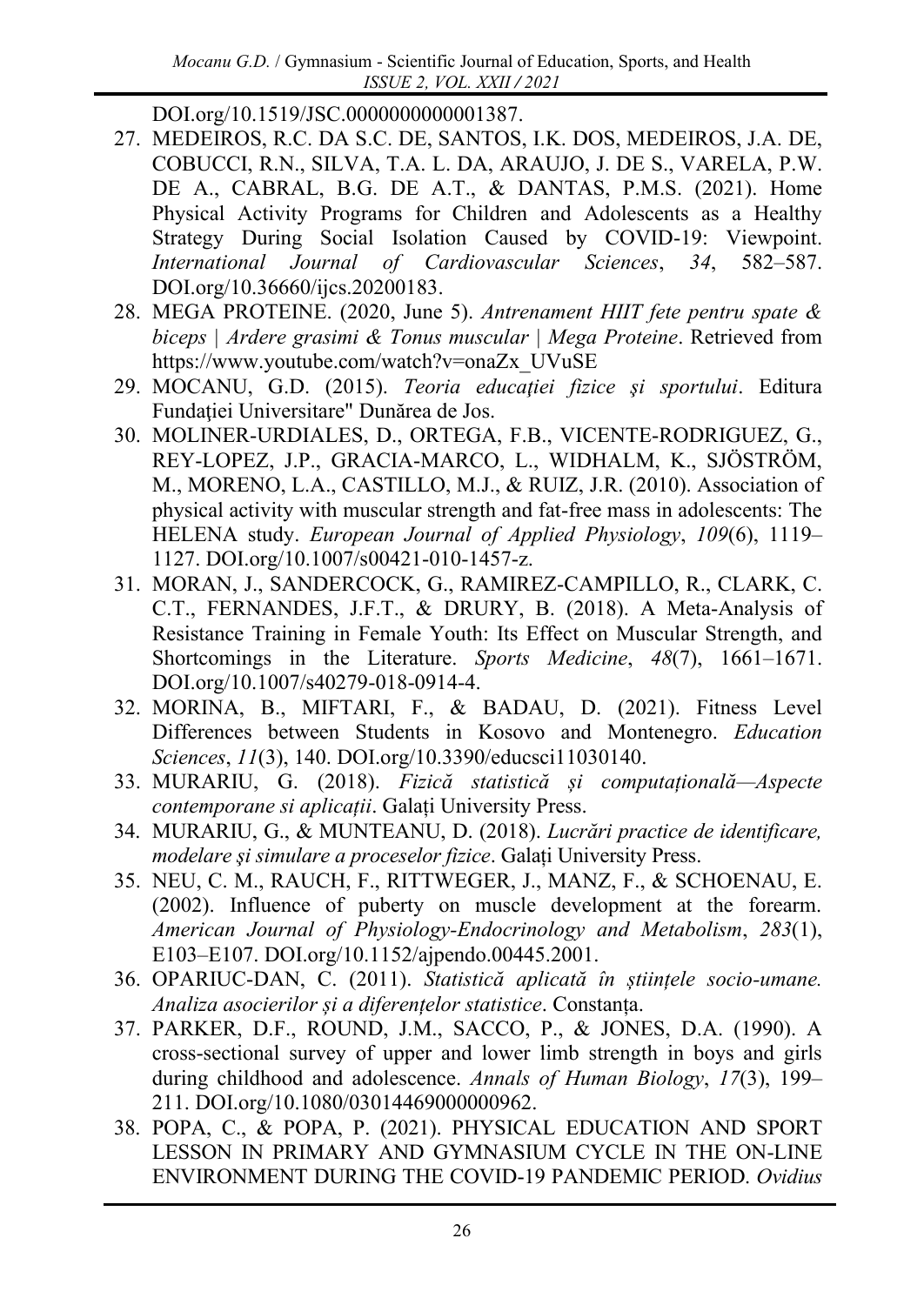DOI.org/10.1519/JSC.0000000000001387.

- 27. MEDEIROS, R.C. DA S.C. DE, SANTOS, I.K. DOS, MEDEIROS, J.A. DE, COBUCCI, R.N., SILVA, T.A. L. DA, ARAUJO, J. DE S., VARELA, P.W. DE A., CABRAL, B.G. DE A.T., & DANTAS, P.M.S. (2021). Home Physical Activity Programs for Children and Adolescents as a Healthy Strategy During Social Isolation Caused by COVID-19: Viewpoint. *International Journal of Cardiovascular Sciences*, *34*, 582–587. DOI.org/10.36660/ijcs.20200183.
- 28. MEGA PROTEINE. (2020, June 5). *Antrenament HIIT fete pentru spate & biceps | Ardere grasimi & Tonus muscular | Mega Proteine*. Retrieved from https://www.youtube.com/watch?v=onaZx\_UVuSE
- 29. MOCANU, G.D. (2015). *Teoria educaţiei fizice şi sportului*. Editura Fundației Universitare" Dunărea de Jos.
- 30. MOLINER-URDIALES, D., ORTEGA, F.B., VICENTE-RODRIGUEZ, G., REY-LOPEZ, J.P., GRACIA-MARCO, L., WIDHALM, K., SJÖSTRÖM, M., MORENO, L.A., CASTILLO, M.J., & RUIZ, J.R. (2010). Association of physical activity with muscular strength and fat-free mass in adolescents: The HELENA study. *European Journal of Applied Physiology*, *109*(6), 1119– 1127. DOI.org/10.1007/s00421-010-1457-z.
- 31. MORAN, J., SANDERCOCK, G., RAMIREZ-CAMPILLO, R., CLARK, C. C.T., FERNANDES, J.F.T., & DRURY, B. (2018). A Meta-Analysis of Resistance Training in Female Youth: Its Effect on Muscular Strength, and Shortcomings in the Literature. *Sports Medicine*, *48*(7), 1661–1671. DOI.org/10.1007/s40279-018-0914-4.
- 32. MORINA, B., MIFTARI, F., & BADAU, D. (2021). Fitness Level Differences between Students in Kosovo and Montenegro. *Education Sciences*, *11*(3), 140. DOI.org/10.3390/educsci11030140.
- 33. MURARIU, G. (2018). *Fizică statistică și computațională—Aspecte contemporane si aplicații*. Galați University Press.
- 34. MURARIU, G., & MUNTEANU, D. (2018). *Lucrări practice de identificare, modelare şi simulare a proceselor fizice*. Galați University Press.
- 35. NEU, C. M., RAUCH, F., RITTWEGER, J., MANZ, F., & SCHOENAU, E. (2002). Influence of puberty on muscle development at the forearm. *American Journal of Physiology-Endocrinology and Metabolism*, *283*(1), E103–E107. DOI.org/10.1152/ajpendo.00445.2001.
- 36. OPARIUC-DAN, C. (2011). *Statistică aplicată în științele socio-umane. Analiza asocierilor și a diferențelor statistice*. Constanța.
- 37. PARKER, D.F., ROUND, J.M., SACCO, P., & JONES, D.A. (1990). A cross-sectional survey of upper and lower limb strength in boys and girls during childhood and adolescence. *Annals of Human Biology*, *17*(3), 199– 211. DOI.org/10.1080/03014469000000962.
- 38. POPA, C., & POPA, P. (2021). PHYSICAL EDUCATION AND SPORT LESSON IN PRIMARY AND GYMNASIUM CYCLE IN THE ON-LINE ENVIRONMENT DURING THE COVID-19 PANDEMIC PERIOD. *Ovidius*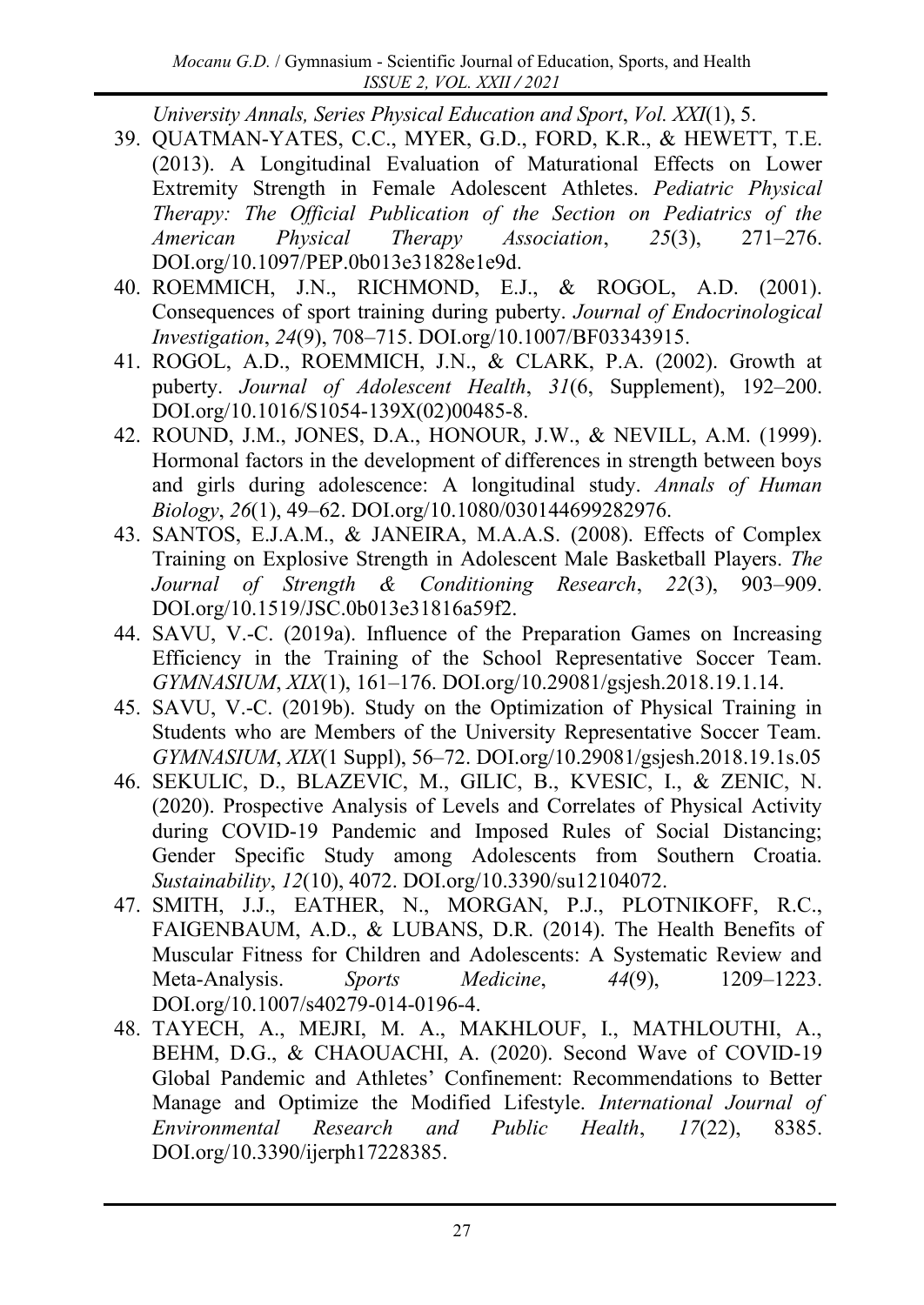*University Annals, Series Physical Education and Sport*, *Vol. XXI*(1), 5.

- 39. QUATMAN-YATES, C.C., MYER, G.D., FORD, K.R., & HEWETT, T.E. (2013). A Longitudinal Evaluation of Maturational Effects on Lower Extremity Strength in Female Adolescent Athletes. *Pediatric Physical Therapy: The Official Publication of the Section on Pediatrics of the American Physical Therapy Association*, *25*(3), 271–276. DOI.org/10.1097/PEP.0b013e31828e1e9d.
- 40. ROEMMICH, J.N., RICHMOND, E.J., & ROGOL, A.D. (2001). Consequences of sport training during puberty. *Journal of Endocrinological Investigation*, *24*(9), 708–715. DOI.org/10.1007/BF03343915.
- 41. ROGOL, A.D., ROEMMICH, J.N., & CLARK, P.A. (2002). Growth at puberty. *Journal of Adolescent Health*, *31*(6, Supplement), 192–200. DOI.org/10.1016/S1054-139X(02)00485-8.
- 42. ROUND, J.M., JONES, D.A., HONOUR, J.W., & NEVILL, A.M. (1999). Hormonal factors in the development of differences in strength between boys and girls during adolescence: A longitudinal study. *Annals of Human Biology*, *26*(1), 49–62. DOI.org/10.1080/030144699282976.
- 43. SANTOS, E.J.A.M., & JANEIRA, M.A.A.S. (2008). Effects of Complex Training on Explosive Strength in Adolescent Male Basketball Players. *The Journal of Strength & Conditioning Research*, *22*(3), 903–909. DOI.org/10.1519/JSC.0b013e31816a59f2.
- 44. SAVU, V.-C. (2019a). Influence of the Preparation Games on Increasing Efficiency in the Training of the School Representative Soccer Team. *GYMNASIUM*, *XIX*(1), 161–176. DOI.org/10.29081/gsjesh.2018.19.1.14.
- 45. SAVU, V.-C. (2019b). Study on the Optimization of Physical Training in Students who are Members of the University Representative Soccer Team. *GYMNASIUM*, *XIX*(1 Suppl), 56–72. DOI.org/10.29081/gsjesh.2018.19.1s.05
- 46. SEKULIC, D., BLAZEVIC, M., GILIC, B., KVESIC, I., & ZENIC, N. (2020). Prospective Analysis of Levels and Correlates of Physical Activity during COVID-19 Pandemic and Imposed Rules of Social Distancing; Gender Specific Study among Adolescents from Southern Croatia. *Sustainability*, *12*(10), 4072. DOI.org/10.3390/su12104072.
- 47. SMITH, J.J., EATHER, N., MORGAN, P.J., PLOTNIKOFF, R.C., FAIGENBAUM, A.D., & LUBANS, D.R. (2014). The Health Benefits of Muscular Fitness for Children and Adolescents: A Systematic Review and Meta-Analysis. *Sports Medicine*, *44*(9), 1209–1223. DOI.org/10.1007/s40279-014-0196-4.
- 48. TAYECH, A., MEJRI, M. A., MAKHLOUF, I., MATHLOUTHI, A., BEHM, D.G., & CHAOUACHI, A. (2020). Second Wave of COVID-19 Global Pandemic and Athletes' Confinement: Recommendations to Better Manage and Optimize the Modified Lifestyle. *International Journal of Environmental Research and Public Health*, *17*(22), 8385. DOI.org/10.3390/ijerph17228385.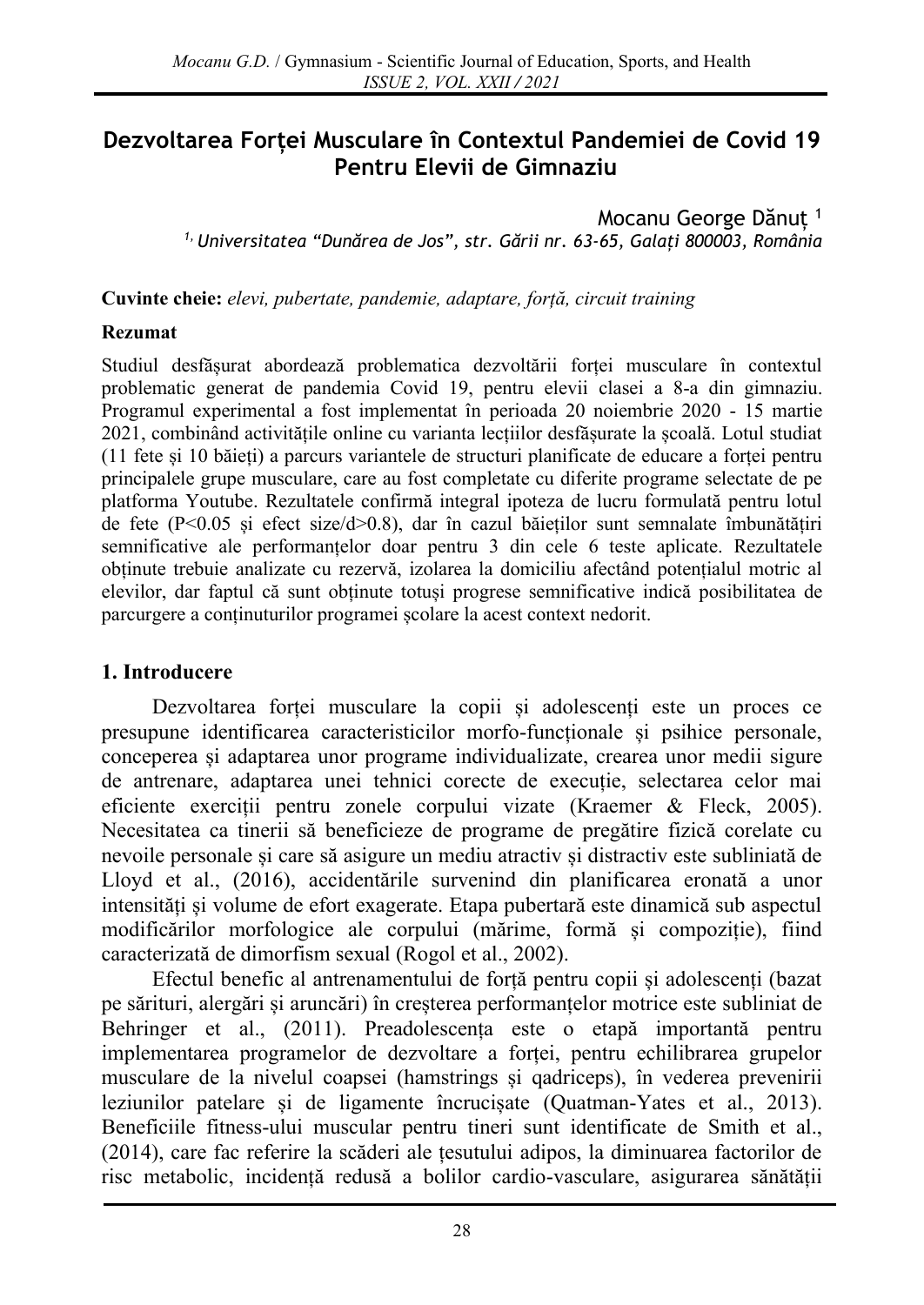# **Dezvoltarea Forței Musculare în Contextul Pandemiei de Covid 19 Pentru Elevii de Gimnaziu**

Mocanu George Dănuț <sup>1</sup> *1, Universitatea "Dunărea de Jos", str. Gării nr. 63-65, Galați 800003, România*

**Cuvinte cheie:** *elevi, pubertate, pandemie, adaptare, forță, circuit training*

#### **Rezumat**

Studiul desfășurat abordează problematica dezvoltării forței musculare în contextul problematic generat de pandemia Covid 19, pentru elevii clasei a 8-a din gimnaziu. Programul experimental a fost implementat în perioada 20 noiembrie 2020 - 15 martie 2021, combinând activitățile online cu varianta lecțiilor desfășurate la școală. Lotul studiat (11 fete și 10 băieți) a parcurs variantele de structuri planificate de educare a forței pentru principalele grupe musculare, care au fost completate cu diferite programe selectate de pe platforma Youtube. Rezultatele confirmă integral ipoteza de lucru formulată pentru lotul de fete (P<0.05 și efect size/d>0.8), dar în cazul băieților sunt semnalate îmbunătățiri semnificative ale performanțelor doar pentru 3 din cele 6 teste aplicate. Rezultatele obținute trebuie analizate cu rezervă, izolarea la domiciliu afectând potențialul motric al elevilor, dar faptul că sunt obținute totuși progrese semnificative indică posibilitatea de parcurgere a conținuturilor programei școlare la acest context nedorit.

### **1. Introducere**

Dezvoltarea forței musculare la copii și adolescenți este un proces ce presupune identificarea caracteristicilor morfo-funcționale și psihice personale, conceperea și adaptarea unor programe individualizate, crearea unor medii sigure de antrenare, adaptarea unei tehnici corecte de execuție, selectarea celor mai eficiente exerciții pentru zonele corpului vizate (Kraemer & Fleck, 2005). Necesitatea ca tinerii să beneficieze de programe de pregătire fizică corelate cu nevoile personale și care să asigure un mediu atractiv și distractiv este subliniată de Lloyd et al., (2016), accidentările survenind din planificarea eronată a unor intensități și volume de efort exagerate. Etapa pubertară este dinamică sub aspectul modificărilor morfologice ale corpului (mărime, formă și compoziție), fiind caracterizată de dimorfism sexual (Rogol et al., 2002).

Efectul benefic al antrenamentului de forță pentru copii și adolescenți (bazat pe sărituri, alergări și aruncări) în creșterea performanțelor motrice este subliniat de Behringer et al., (2011). Preadolescența este o etapă importantă pentru implementarea programelor de dezvoltare a forței, pentru echilibrarea grupelor musculare de la nivelul coapsei (hamstrings și qadriceps), în vederea prevenirii leziunilor patelare și de ligamente încrucișate (Quatman-Yates et al., 2013). Beneficiile fitness-ului muscular pentru tineri sunt identificate de Smith et al., (2014), care fac referire la scăderi ale țesutului adipos, la diminuarea factorilor de risc metabolic, incidență redusă a bolilor cardio-vasculare, asigurarea sănătății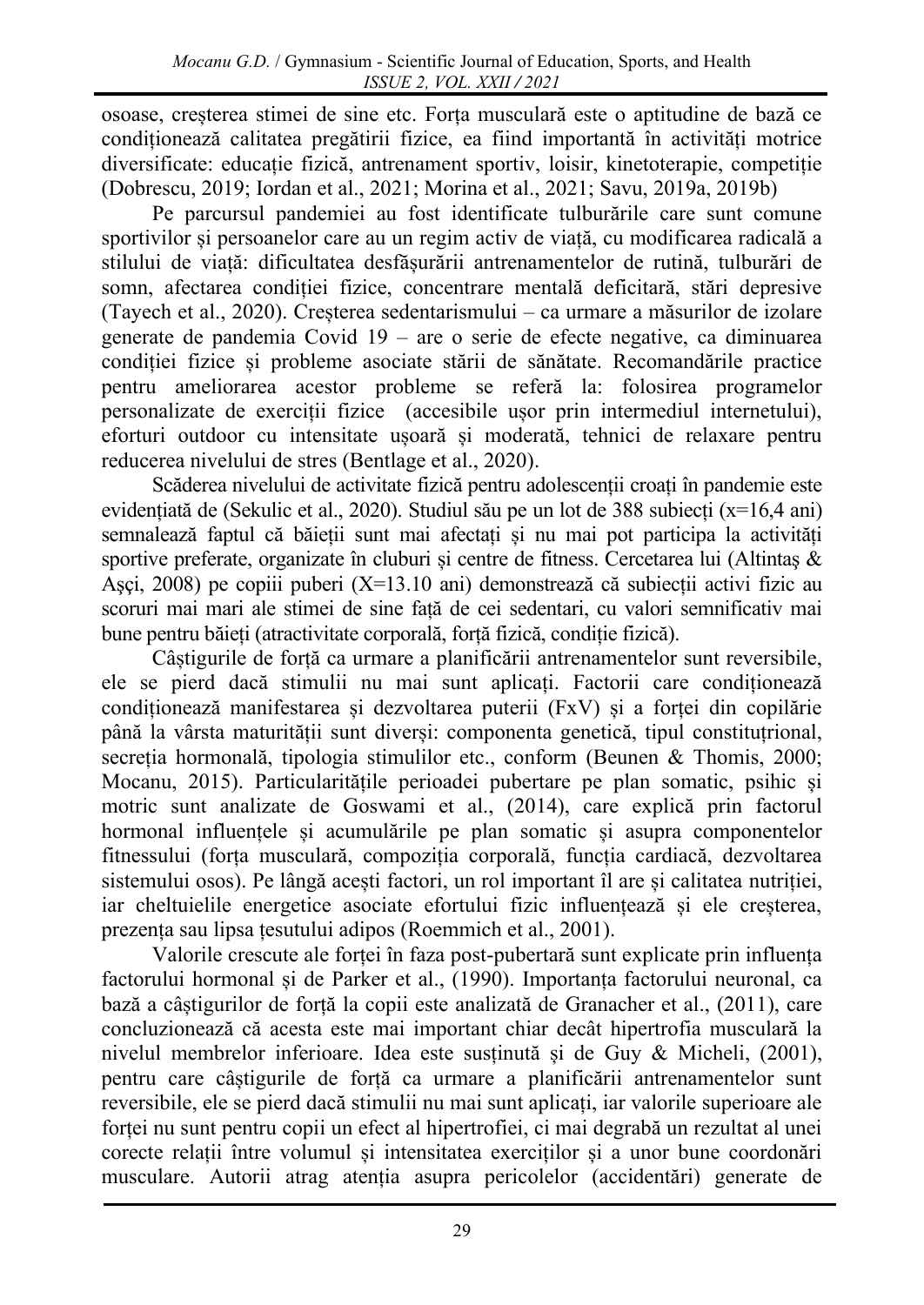osoase, creșterea stimei de sine etc. Forța musculară este o aptitudine de bază ce condiționează calitatea pregătirii fizice, ea fiind importantă în activități motrice diversificate: educație fizică, antrenament sportiv, loisir, kinetoterapie, competiție (Dobrescu, 2019; Iordan et al., 2021; Morina et al., 2021; Savu, 2019a, 2019b)

Pe parcursul pandemiei au fost identificate tulburările care sunt comune sportivilor și persoanelor care au un regim activ de viață, cu modificarea radicală a stilului de viață: dificultatea desfășurării antrenamentelor de rutină, tulburări de somn, afectarea condiției fizice, concentrare mentală deficitară, stări depresive (Tayech et al., 2020). Creșterea sedentarismului – ca urmare a măsurilor de izolare generate de pandemia Covid 19 – are o serie de efecte negative, ca diminuarea condiției fizice și probleme asociate stării de sănătate. Recomandările practice pentru ameliorarea acestor probleme se referă la: folosirea programelor personalizate de exerciții fizice (accesibile ușor prin intermediul internetului), eforturi outdoor cu intensitate ușoară și moderată, tehnici de relaxare pentru reducerea nivelului de stres (Bentlage et al., 2020).

Scăderea nivelului de activitate fizică pentru adolescenții croați în pandemie este evidențiată de (Sekulic et al., 2020). Studiul său pe un lot de 388 subiecți (x=16,4 ani) semnalează faptul că băieții sunt mai afectați și nu mai pot participa la activități sportive preferate, organizate în cluburi și centre de fitness. Cercetarea lui (Altintaş & Aşçi, 2008) pe copiii puberi (X=13.10 ani) demonstrează că subiecții activi fizic au scoruri mai mari ale stimei de sine față de cei sedentari, cu valori semnificativ mai bune pentru băieți (atractivitate corporală, forță fizică, condiție fizică).

Câștigurile de forță ca urmare a planificării antrenamentelor sunt reversibile, ele se pierd dacă stimulii nu mai sunt aplicați. Factorii care condiționează condiționează manifestarea și dezvoltarea puterii (FxV) și a forței din copilărie până la vârsta maturității sunt diverși: componenta genetică, tipul constituțrional, secreția hormonală, tipologia stimulilor etc., conform (Beunen & Thomis, 2000; Mocanu, 2015). Particularitățile perioadei pubertare pe plan somatic, psihic și motric sunt analizate de Goswami et al., (2014), care explică prin factorul hormonal influențele și acumulările pe plan somatic și asupra componentelor fitnessului (forța musculară, compoziția corporală, funcția cardiacă, dezvoltarea sistemului osos). Pe lângă acești factori, un rol important îl are și calitatea nutriției, iar cheltuielile energetice asociate efortului fizic influențează și ele creșterea, prezența sau lipsa țesutului adipos (Roemmich et al., 2001).

Valorile crescute ale forței în faza post-pubertară sunt explicate prin influența factorului hormonal și de Parker et al., (1990). Importanța factorului neuronal, ca bază a câștigurilor de forță la copii este analizată de Granacher et al., (2011), care concluzionează că acesta este mai important chiar decât hipertrofia musculară la nivelul membrelor inferioare. Idea este susținută și de Guy & Micheli, (2001), pentru care câștigurile de forță ca urmare a planificării antrenamentelor sunt reversibile, ele se pierd dacă stimulii nu mai sunt aplicați, iar valorile superioare ale forței nu sunt pentru copii un efect al hipertrofiei, ci mai degrabă un rezultat al unei corecte relații între volumul și intensitatea exerciților și a unor bune coordonări musculare. Autorii atrag atenția asupra pericolelor (accidentări) generate de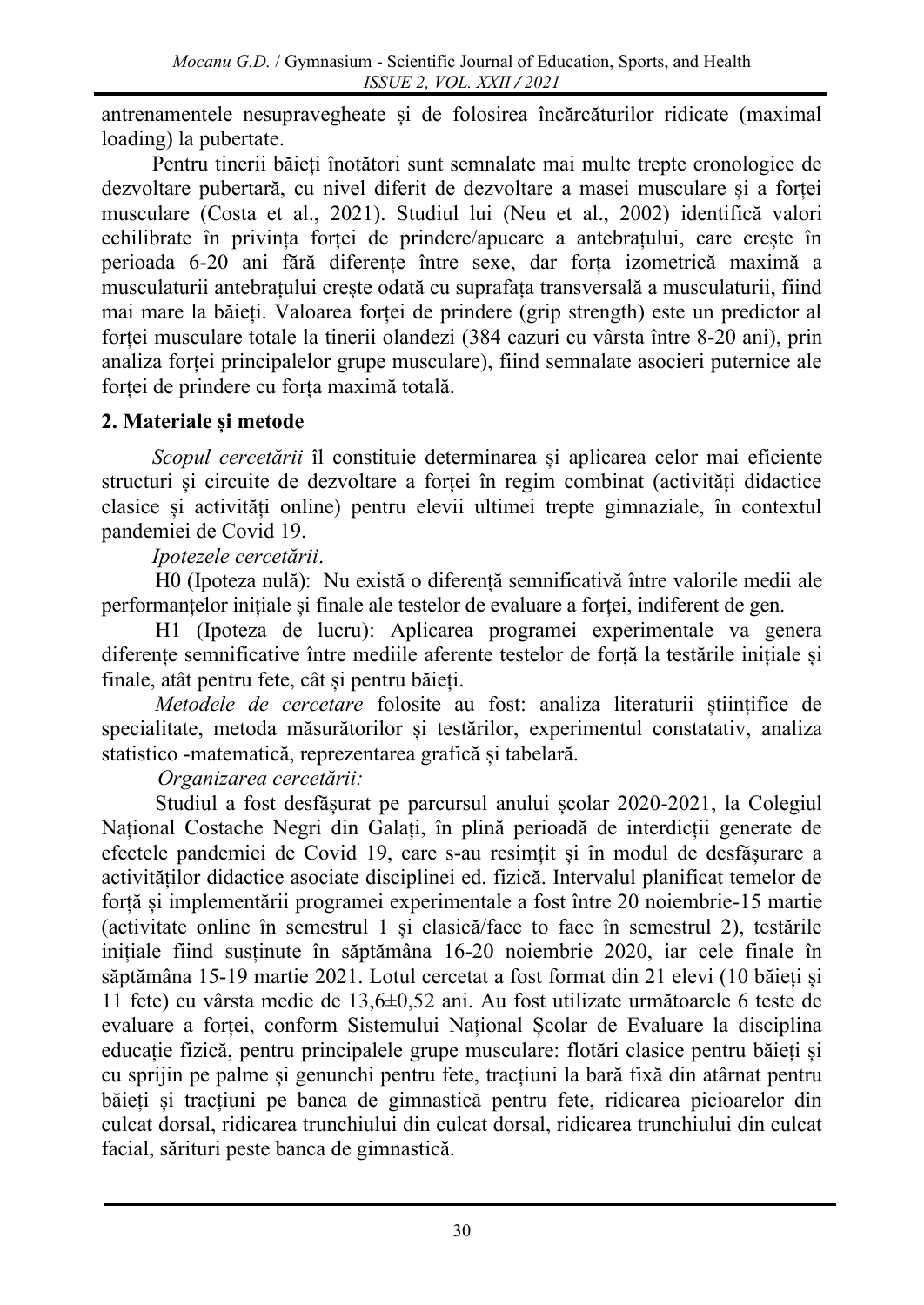antrenamentele nesupravegheate și de folosirea încărcăturilor ridicate (maximal loading) la pubertate.

Pentru tinerii băieți înotători sunt semnalate mai multe trepte cronologice de dezvoltare pubertară, cu nivel diferit de dezvoltare a masei musculare și a forței musculare (Costa et al., 2021). Studiul lui (Neu et al., 2002) identifică valori echilibrate în privința forței de prindere/apucare a antebrațului, care crește în perioada 6-20 ani fără diferențe între sexe, dar forța izometrică maximă a musculaturii antebrațului crește odată cu suprafața transversală a musculaturii, fiind mai mare la băieți. Valoarea forței de prindere (grip strength) este un predictor al forței musculare totale la tinerii olandezi (384 cazuri cu vârsta între 8-20 ani), prin analiza forței principalelor grupe musculare), fiind semnalate asocieri puternice ale forței de prindere cu forța maximă totală.

## **2. Materiale și metode**

*Scopul cercetării* îl constituie determinarea și aplicarea celor mai eficiente structuri și circuite de dezvoltare a forței în regim combinat (activități didactice clasice și activități online) pentru elevii ultimei trepte gimnaziale, în contextul pandemiei de Covid 19.

*Ipotezele cercetării*.

H0 (Ipoteza nulă): Nu există o diferență semnificativă între valorile medii ale performanțelor inițiale și finale ale testelor de evaluare a forței, indiferent de gen.

H1 (Ipoteza de lucru): Aplicarea programei experimentale va genera diferențe semnificative între mediile aferente testelor de forță la testările inițiale și finale, atât pentru fete, cât și pentru băieți.

*Metodele de cercetare* folosite au fost: analiza literaturii științifice de specialitate, metoda măsurătorilor și testărilor, experimentul constatativ, analiza statistico -matematică, reprezentarea grafică și tabelară.

*Organizarea cercetării:* 

Studiul a fost desfășurat pe parcursul anului școlar 2020-2021, la Colegiul Național Costache Negri din Galați, în plină perioadă de interdicții generate de efectele pandemiei de Covid 19, care s-au resimțit și în modul de desfășurare a activităților didactice asociate disciplinei ed. fizică. Intervalul planificat temelor de forță și implementării programei experimentale a fost între 20 noiembrie-15 martie (activitate online în semestrul 1 și clasică/face to face în semestrul 2), testările inițiale fiind susținute în săptămâna 16-20 noiembrie 2020, iar cele finale în săptămâna 15-19 martie 2021. Lotul cercetat a fost format din 21 elevi (10 băieți și 11 fete) cu vârsta medie de 13,6±0,52 ani. Au fost utilizate următoarele 6 teste de evaluare a forței, conform Sistemului Național Școlar de Evaluare la disciplina educație fizică, pentru principalele grupe musculare: flotări clasice pentru băieți și cu sprijin pe palme și genunchi pentru fete, tracțiuni la bară fixă din atârnat pentru băieți și tracțiuni pe banca de gimnastică pentru fete, ridicarea picioarelor din culcat dorsal, ridicarea trunchiului din culcat dorsal, ridicarea trunchiului din culcat facial, sărituri peste banca de gimnastică.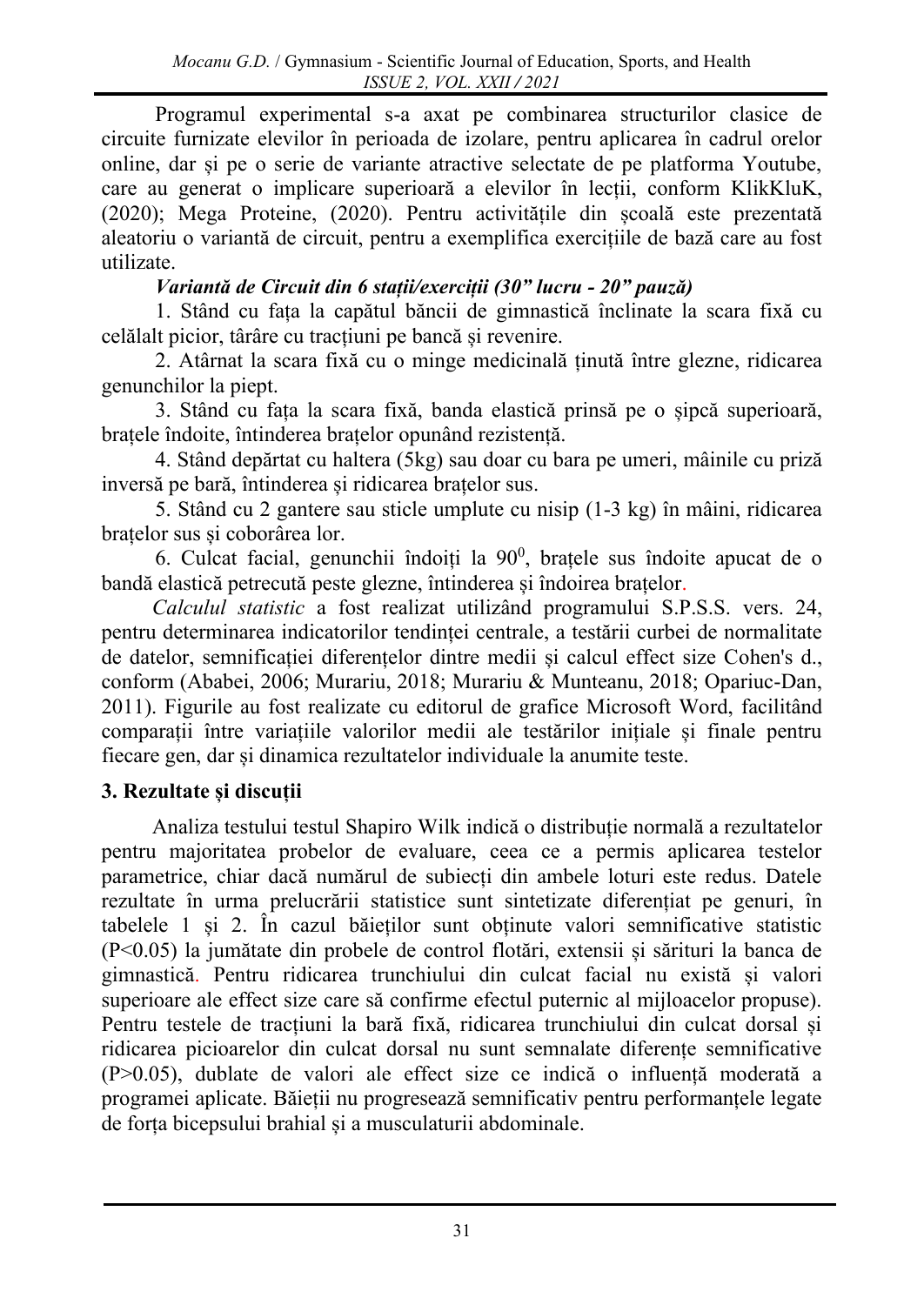Programul experimental s-a axat pe combinarea structurilor clasice de circuite furnizate elevilor în perioada de izolare, pentru aplicarea în cadrul orelor online, dar și pe o serie de variante atractive selectate de pe platforma Youtube, care au generat o implicare superioară a elevilor în lecții, conform KlikKluK, (2020); Mega Proteine, (2020). Pentru activitățile din școală este prezentată aleatoriu o variantă de circuit, pentru a exemplifica exercițiile de bază care au fost utilizate.

# *Variantă de Circuit din 6 stații/exerciții (30" lucru - 20" pauză)*

1. Stând cu fața la capătul băncii de gimnastică înclinate la scara fixă cu celălalt picior, târâre cu tracțiuni pe bancă și revenire.

2. Atârnat la scara fixă cu o minge medicinală ținută între glezne, ridicarea genunchilor la piept.

3. Stând cu fața la scara fixă, banda elastică prinsă pe o șipcă superioară, brațele îndoite, întinderea brațelor opunând rezistență.

4. Stând depărtat cu haltera (5kg) sau doar cu bara pe umeri, mâinile cu priză inversă pe bară, întinderea și ridicarea brațelor sus.

5. Stând cu 2 gantere sau sticle umplute cu nisip (1-3 kg) în mâini, ridicarea brațelor sus și coborârea lor.

6. Culcat facial, genunchii îndoiți la  $90^0$ , brațele sus îndoite apucat de o bandă elastică petrecută peste glezne, întinderea și îndoirea brațelor.

*Calculul statistic* a fost realizat utilizând programului S.P.S.S. vers. 24, pentru determinarea indicatorilor tendinței centrale, a testării curbei de normalitate de datelor, semnificației diferențelor dintre medii și calcul effect size Cohen's d., conform (Ababei, 2006; Murariu, 2018; Murariu & Munteanu, 2018; Opariuc-Dan, 2011). Figurile au fost realizate cu editorul de grafice Microsoft Word, facilitând comparații între variațiile valorilor medii ale testărilor inițiale și finale pentru fiecare gen, dar și dinamica rezultatelor individuale la anumite teste.

# **3. Rezultate și discuții**

Analiza testului testul Shapiro Wilk indică o distribuție normală a rezultatelor pentru majoritatea probelor de evaluare, ceea ce a permis aplicarea testelor parametrice, chiar dacă numărul de subiecți din ambele loturi este redus. Datele rezultate în urma prelucrării statistice sunt sintetizate diferențiat pe genuri, în tabelele 1 și 2. În cazul băieților sunt obținute valori semnificative statistic (P<0.05) la jumătate din probele de control flotări, extensii și sărituri la banca de gimnastică. Pentru ridicarea trunchiului din culcat facial nu există și valori superioare ale effect size care să confirme efectul puternic al mijloacelor propuse). Pentru testele de tracțiuni la bară fixă, ridicarea trunchiului din culcat dorsal și ridicarea picioarelor din culcat dorsal nu sunt semnalate diferențe semnificative (P>0.05), dublate de valori ale effect size ce indică o influență moderată a programei aplicate. Băieții nu progresează semnificativ pentru performanțele legate de forța bicepsului brahial și a musculaturii abdominale.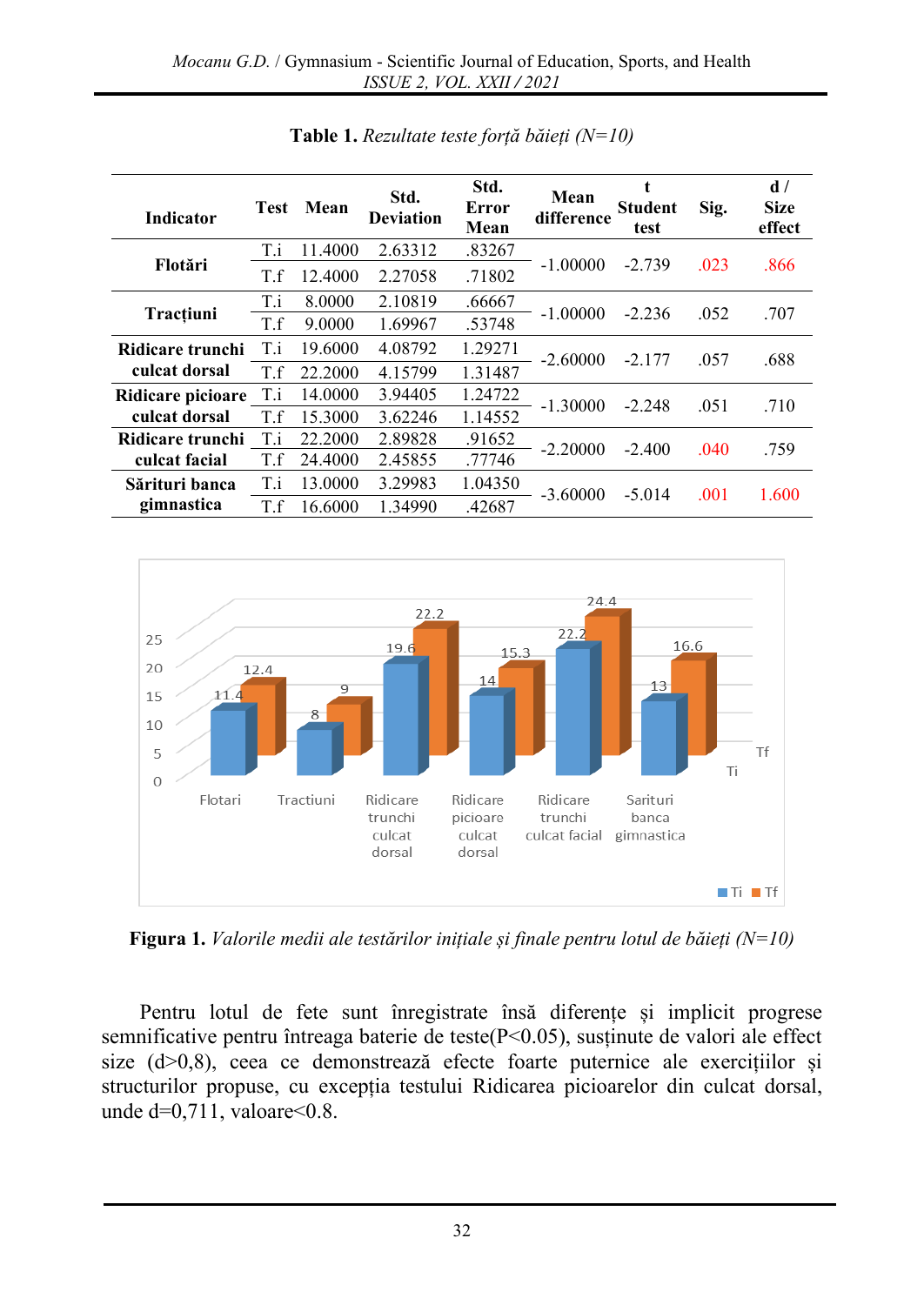| <b>Indicator</b>  | <b>Test</b> | Mean    | Std.<br><b>Deviation</b> | Std.<br>Error<br>Mean | Mean<br>difference | t<br><b>Student</b><br>test | Sig. | d/<br><b>Size</b><br>effect |
|-------------------|-------------|---------|--------------------------|-----------------------|--------------------|-----------------------------|------|-----------------------------|
|                   | T.i         | 11.4000 | 2.63312                  | .83267                | $-1.00000$         | $-2.739$                    | .023 | .866                        |
| Flotări           | T.f         | 12.4000 | 2.27058                  | .71802                |                    |                             |      |                             |
| Tracțiuni         | T.i         | 8.0000  | 2.10819                  | .66667                | $-1.00000$         | $-2.236$                    | .052 | .707                        |
|                   | T.f         | 9.0000  | 1.69967                  | .53748                |                    |                             |      |                             |
| Ridicare trunchi  | T.i         | 19.6000 | 4.08792                  | 1.29271               | $-2.60000$         | $-2.177$                    | .057 | .688                        |
| culcat dorsal     | T.f         | 22.2000 | 4.15799                  | 1.31487               |                    |                             |      |                             |
| Ridicare picioare | T.i         | 14.0000 | 3.94405                  | 1.24722               | $-1.30000$         | $-2.248$                    | .051 | .710                        |
| culcat dorsal     | T.f         | 15.3000 | 3.62246                  | 1.14552               |                    |                             |      |                             |
| Ridicare trunchi  | T.i         | 22.2000 | 2.89828                  | .91652                | $-2.20000$         | $-2.400$                    | .040 | .759                        |
| culcat facial     | T.f         | 24.4000 | 2.45855                  | .77746                |                    |                             |      |                             |
| Sărituri banca    | T.i         | 13.0000 | 3.29983                  | 1.04350               | $-3.60000$         | $-5.014$                    | .001 | 1.600                       |
| gimnastica        | T.f         | 16.6000 | 1.34990                  | .42687                |                    |                             |      |                             |

**Table 1.** *Rezultate teste forță băieți (N=10)*



**Figura 1.** *Valorile medii ale testărilor inițiale și finale pentru lotul de băieți (N=10)*

Pentru lotul de fete sunt înregistrate însă diferențe și implicit progrese semnificative pentru întreaga baterie de teste(P<0.05), susținute de valori ale effect size (d>0,8), ceea ce demonstrează efecte foarte puternice ale exercițiilor și structurilor propuse, cu excepția testului Ridicarea picioarelor din culcat dorsal, unde  $d=0,711$ , valoare $\leq 0.8$ .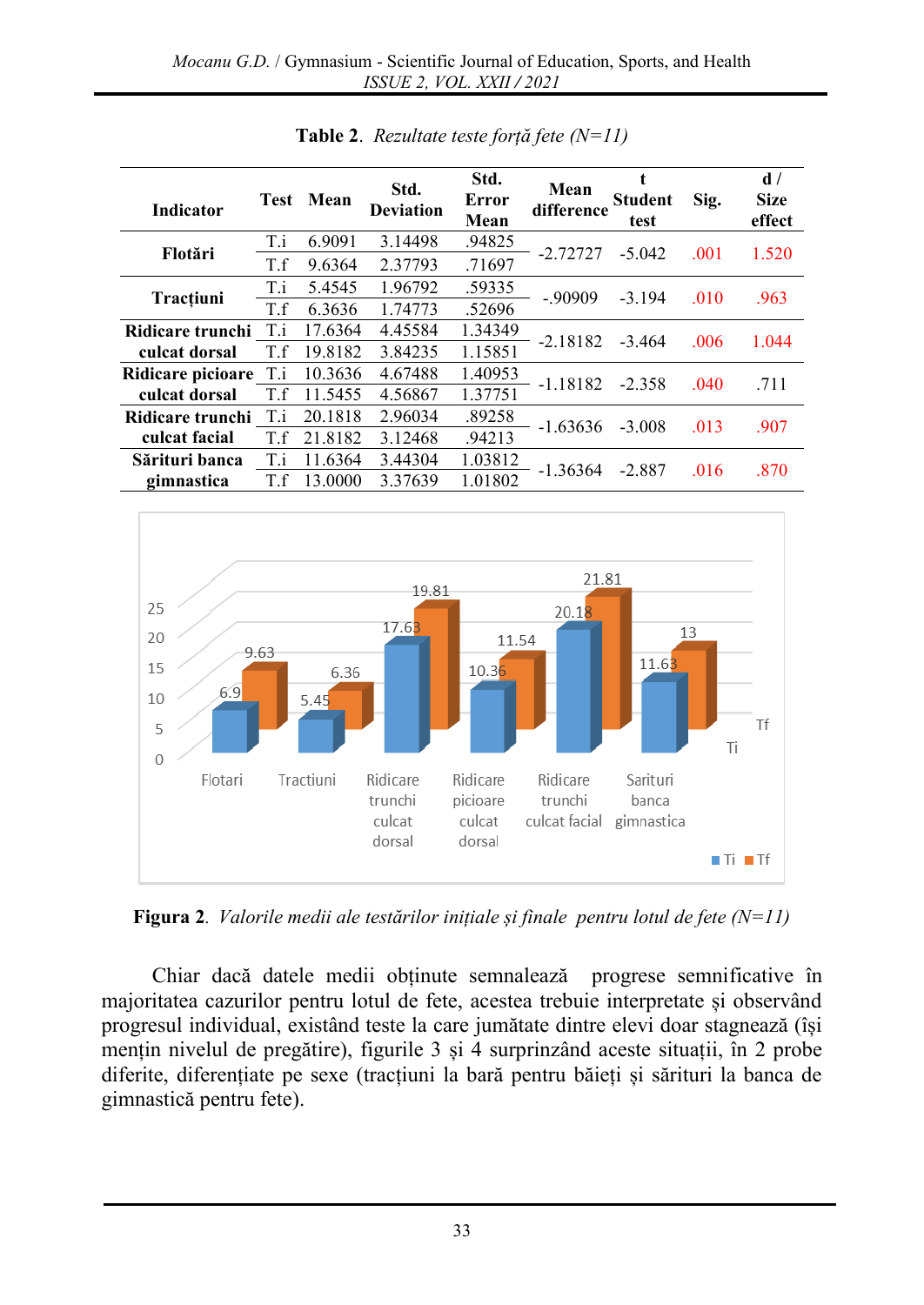| <b>Indicator</b>  | <b>Test</b> | Mean    | Std.<br><b>Deviation</b> | Std.<br>Error<br>Mean | Mean<br>difference | <b>Student</b><br>test | Sig. | d/<br><b>Size</b><br>effect |
|-------------------|-------------|---------|--------------------------|-----------------------|--------------------|------------------------|------|-----------------------------|
| Flotări           | T.i         | 6.9091  | 3.14498                  | .94825                | $-2.72727$         | $-5.042$               | .001 | 1.520                       |
|                   | T.f         | 9.6364  | 2.37793                  | .71697                |                    |                        |      |                             |
| Tracțiuni         | T.i         | 5.4545  | 1.96792                  | .59335                | $-.90909$          | $-3.194$               | .010 | .963                        |
|                   | T.f         | 6.3636  | 1.74773                  | .52696                |                    |                        |      |                             |
| Ridicare trunchi  | T.i         | 17.6364 | 4.45584                  | 1.34349               | $-2.18182$         | $-3.464$               | .006 | 1.044                       |
| culcat dorsal     | T.f         | 19.8182 | 3.84235                  | 1.15851               |                    |                        |      |                             |
| Ridicare picioare | T.i         | 10.3636 | 4.67488                  | 1.40953               | $-1.18182$         | $-2.358$               | .040 | .711                        |
| culcat dorsal     | T.f         | 11.5455 | 4.56867                  | 1.37751               |                    |                        |      |                             |
| Ridicare trunchi  | T.i         | 20.1818 | 2.96034                  | .89258                | $-1.63636$         | $-3.008$               | .013 | .907                        |
| culcat facial     | T.f         | 21.8182 | 3.12468                  | .94213                |                    |                        |      |                             |
| Sărituri banca    | T.i         | 11.6364 | 3.44304                  | 1.03812               | $-1.36364$         | -2.887                 | .016 | .870                        |
| gimnastica        | T.f         | 13.0000 | 3.37639                  | 1.01802               |                    |                        |      |                             |

**Table 2**. *Rezultate teste forță fete (N=11)*



**Figura 2**. *Valorile medii ale testărilor inițiale și finale pentru lotul de fete (N=11)*

Chiar dacă datele medii obținute semnalează progrese semnificative în majoritatea cazurilor pentru lotul de fete, acestea trebuie interpretate și observând progresul individual, existând teste la care jumătate dintre elevi doar stagnează (își mențin nivelul de pregătire), figurile 3 și 4 surprinzând aceste situații, în 2 probe diferite, diferențiate pe sexe (tracțiuni la bară pentru băieți și sărituri la banca de gimnastică pentru fete).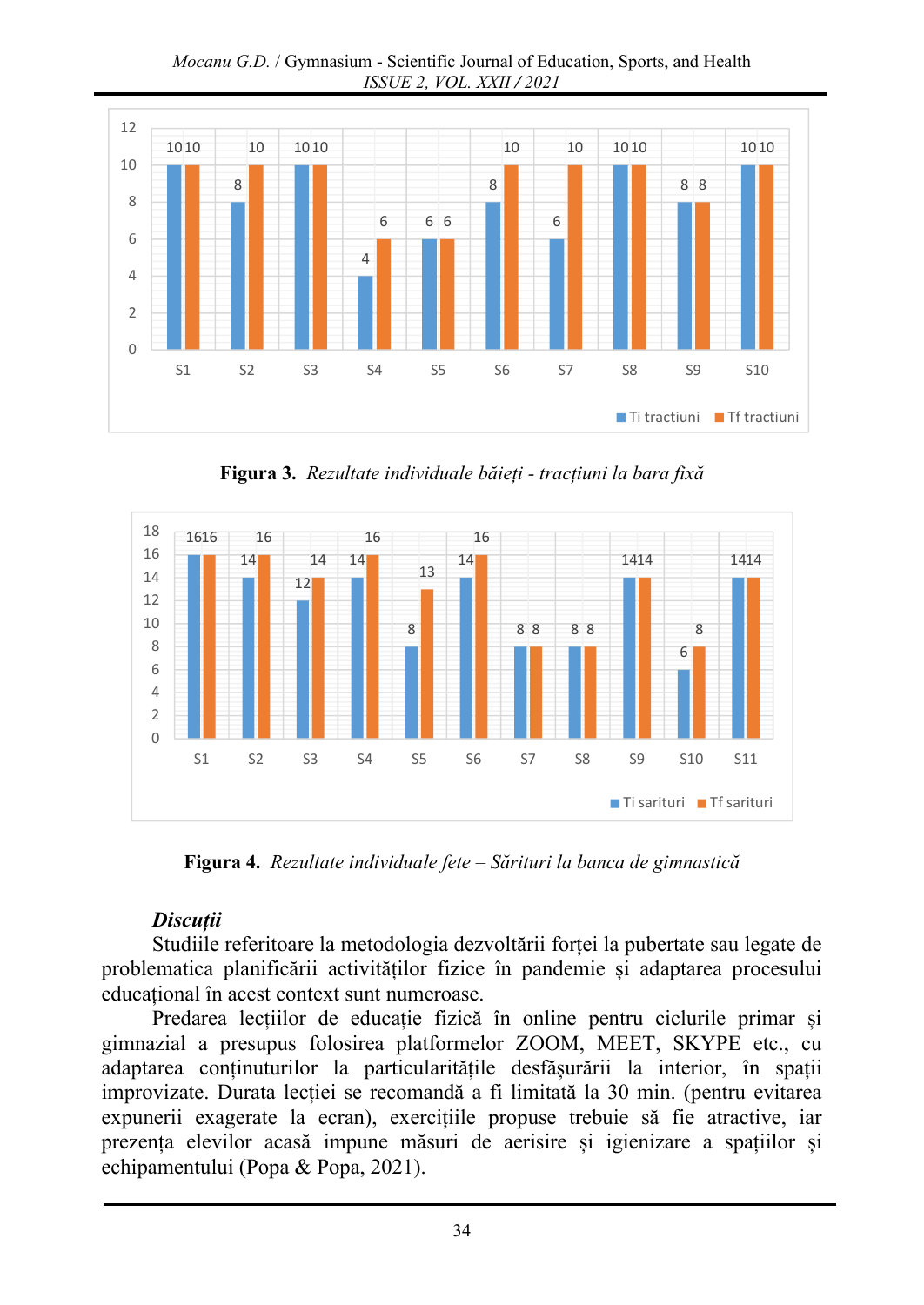*Mocanu G.D.* / Gymnasium - Scientific Journal of Education, Sports, and Health *ISSUE 2, VOL. XXII / 2021*



**Figura 3.** *Rezultate individuale băieți - tracțiuni la bara fixă*



**Figura 4.** *Rezultate individuale fete – Sărituri la banca de gimnastică*

## *Discuții*

Studiile referitoare la metodologia dezvoltării forței la pubertate sau legate de problematica planificării activităților fizice în pandemie și adaptarea procesului educațional în acest context sunt numeroase.

Predarea lecțiilor de educație fizică în online pentru ciclurile primar și gimnazial a presupus folosirea platformelor ZOOM, MEET, SKYPE etc., cu adaptarea conținuturilor la particularitățile desfășurării la interior, în spații improvizate. Durata lecției se recomandă a fi limitată la 30 min. (pentru evitarea expunerii exagerate la ecran), exercițiile propuse trebuie să fie atractive, iar prezența elevilor acasă impune măsuri de aerisire și igienizare a spațiilor și echipamentului (Popa & Popa, 2021).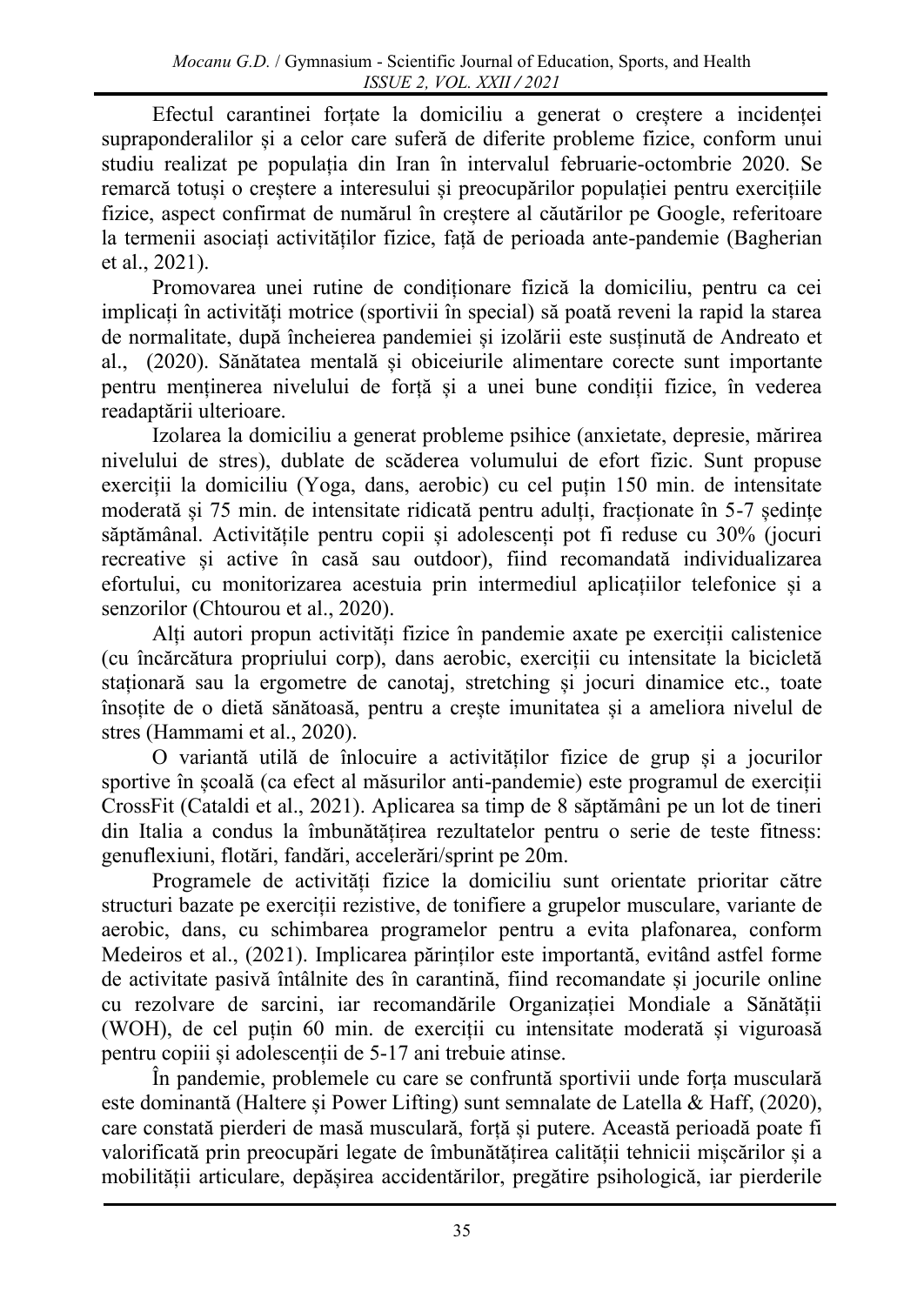Efectul carantinei forțate la domiciliu a generat o creștere a incidenței supraponderalilor și a celor care suferă de diferite probleme fizice, conform unui studiu realizat pe populația din Iran în intervalul februarie-octombrie 2020. Se remarcă totuși o creștere a interesului și preocupărilor populației pentru exercițiile fizice, aspect confirmat de numărul în creștere al căutărilor pe Google, referitoare la termenii asociați activităților fizice, față de perioada ante-pandemie (Bagherian et al., 2021).

Promovarea unei rutine de condiționare fizică la domiciliu, pentru ca cei implicați în activități motrice (sportivii în special) să poată reveni la rapid la starea de normalitate, după încheierea pandemiei și izolării este susținută de Andreato et al., (2020). Sănătatea mentală și obiceiurile alimentare corecte sunt importante pentru menținerea nivelului de forță și a unei bune condiții fizice, în vederea readaptării ulterioare.

Izolarea la domiciliu a generat probleme psihice (anxietate, depresie, mărirea nivelului de stres), dublate de scăderea volumului de efort fizic. Sunt propuse exerciții la domiciliu (Yoga, dans, aerobic) cu cel puțin 150 min. de intensitate moderată și 75 min. de intensitate ridicată pentru adulți, fracționate în 5-7 ședințe săptămânal. Activitățile pentru copii și adolescenți pot fi reduse cu 30% (jocuri recreative și active în casă sau outdoor), fiind recomandată individualizarea efortului, cu monitorizarea acestuia prin intermediul aplicațiilor telefonice și a senzorilor (Chtourou et al., 2020).

Alți autori propun activități fizice în pandemie axate pe exerciții calistenice (cu încărcătura propriului corp), dans aerobic, exerciții cu intensitate la bicicletă staționară sau la ergometre de canotaj, stretching și jocuri dinamice etc., toate însoțite de o dietă sănătoasă, pentru a crește imunitatea și a ameliora nivelul de stres (Hammami et al., 2020).

O variantă utilă de înlocuire a activităților fizice de grup și a jocurilor sportive în școală (ca efect al măsurilor anti-pandemie) este programul de exerciții CrossFit (Cataldi et al., 2021). Aplicarea sa timp de 8 săptămâni pe un lot de tineri din Italia a condus la îmbunătățirea rezultatelor pentru o serie de teste fitness: genuflexiuni, flotări, fandări, accelerări/sprint pe 20m.

Programele de activități fizice la domiciliu sunt orientate prioritar către structuri bazate pe exerciții rezistive, de tonifiere a grupelor musculare, variante de aerobic, dans, cu schimbarea programelor pentru a evita plafonarea, conform Medeiros et al., (2021). Implicarea părinților este importantă, evitând astfel forme de activitate pasivă întâlnite des în carantină, fiind recomandate și jocurile online cu rezolvare de sarcini, iar recomandările Organizației Mondiale a Sănătății (WOH), de cel puțin 60 min. de exerciții cu intensitate moderată și viguroasă pentru copiii și adolescenții de 5-17 ani trebuie atinse.

În pandemie, problemele cu care se confruntă sportivii unde forța musculară este dominantă (Haltere și Power Lifting) sunt semnalate de Latella & Haff, (2020), care constată pierderi de masă musculară, forță și putere. Această perioadă poate fi valorificată prin preocupări legate de îmbunătățirea calității tehnicii mișcărilor și a mobilității articulare, depășirea accidentărilor, pregătire psihologică, iar pierderile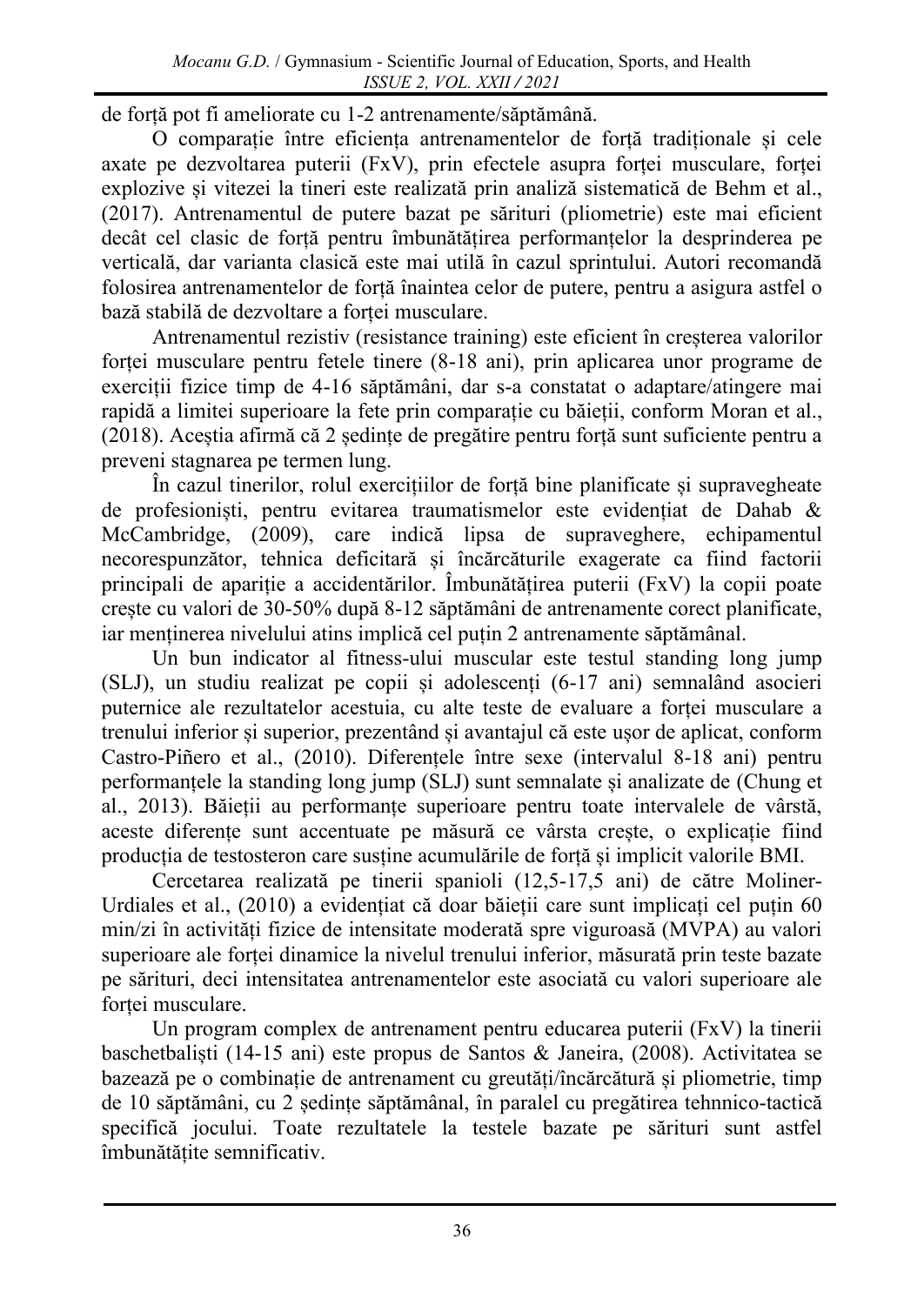de forță pot fi ameliorate cu 1-2 antrenamente/săptămână.

O comparație între eficiența antrenamentelor de forță tradiționale și cele axate pe dezvoltarea puterii (FxV), prin efectele asupra forței musculare, forței explozive și vitezei la tineri este realizată prin analiză sistematică de Behm et al., (2017). Antrenamentul de putere bazat pe sărituri (pliometrie) este mai eficient decât cel clasic de forță pentru îmbunătățirea performanțelor la desprinderea pe verticală, dar varianta clasică este mai utilă în cazul sprintului. Autori recomandă folosirea antrenamentelor de forță înaintea celor de putere, pentru a asigura astfel o bază stabilă de dezvoltare a forței musculare.

Antrenamentul rezistiv (resistance training) este eficient în creșterea valorilor forței musculare pentru fetele tinere (8-18 ani), prin aplicarea unor programe de exerciții fizice timp de 4-16 săptămâni, dar s-a constatat o adaptare/atingere mai rapidă a limitei superioare la fete prin comparație cu băieții, conform Moran et al., (2018). Aceștia afirmă că 2 ședințe de pregătire pentru forță sunt suficiente pentru a preveni stagnarea pe termen lung.

În cazul tinerilor, rolul exercițiilor de forță bine planificate și supravegheate de profesioniști, pentru evitarea traumatismelor este evidențiat de Dahab & McCambridge, (2009), care indică lipsa de supraveghere, echipamentul necorespunzător, tehnica deficitară și încărcăturile exagerate ca fiind factorii principali de apariție a accidentărilor. Îmbunătățirea puterii (FxV) la copii poate crește cu valori de 30-50% după 8-12 săptămâni de antrenamente corect planificate, iar menținerea nivelului atins implică cel puțin 2 antrenamente săptămânal.

Un bun indicator al fitness-ului muscular este testul standing long jump (SLJ), un studiu realizat pe copii și adolescenți (6-17 ani) semnalând asocieri puternice ale rezultatelor acestuia, cu alte teste de evaluare a forței musculare a trenului inferior și superior, prezentând și avantajul că este ușor de aplicat, conform Castro-Piñero et al., (2010). Diferențele între sexe (intervalul 8-18 ani) pentru performanțele la standing long jump (SLJ) sunt semnalate și analizate de (Chung et al., 2013). Băieții au performanțe superioare pentru toate intervalele de vârstă, aceste diferențe sunt accentuate pe măsură ce vârsta crește, o explicație fiind producția de testosteron care susține acumulările de forță și implicit valorile BMI.

Cercetarea realizată pe tinerii spanioli (12,5-17,5 ani) de către Moliner-Urdiales et al., (2010) a evidențiat că doar băieții care sunt implicați cel puțin 60 min/zi în activități fizice de intensitate moderată spre viguroasă (MVPA) au valori superioare ale forței dinamice la nivelul trenului inferior, măsurată prin teste bazate pe sărituri, deci intensitatea antrenamentelor este asociată cu valori superioare ale forței musculare.

Un program complex de antrenament pentru educarea puterii (FxV) la tinerii baschetbaliști (14-15 ani) este propus de Santos & Janeira, (2008). Activitatea se bazează pe o combinație de antrenament cu greutăți/încărcătură și pliometrie, timp de 10 săptămâni, cu 2 ședințe săptămânal, în paralel cu pregătirea tehnnico-tactică specifică jocului. Toate rezultatele la testele bazate pe sărituri sunt astfel îmbunătățite semnificativ.